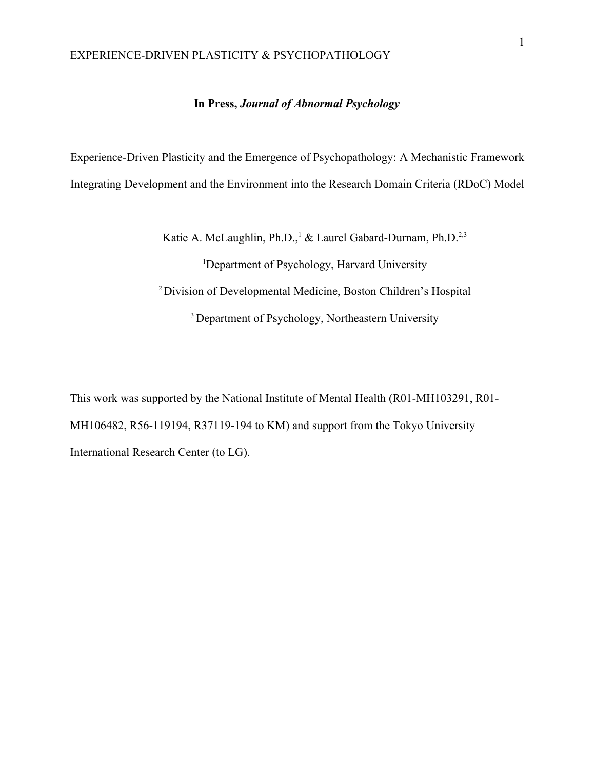## **In Press,** *Journal of Abnormal Psychology*

Experience-Driven Plasticity and the Emergence of Psychopathology: A Mechanistic Framework Integrating Development and the Environment into the Research Domain Criteria (RDoC) Model

Katie A. McLaughlin, Ph.D.,<sup>1</sup> & Laurel Gabard-Durnam, Ph.D.<sup>2,3</sup>

<sup>1</sup>Department of Psychology, Harvard University <sup>2</sup>Division of Developmental Medicine, Boston Children's Hospital <sup>3</sup> Department of Psychology, Northeastern University

This work was supported by the National Institute of Mental Health (R01-MH103291, R01- MH106482, R56-119194, R37119-194 to KM) and support from the Tokyo University International Research Center (to LG).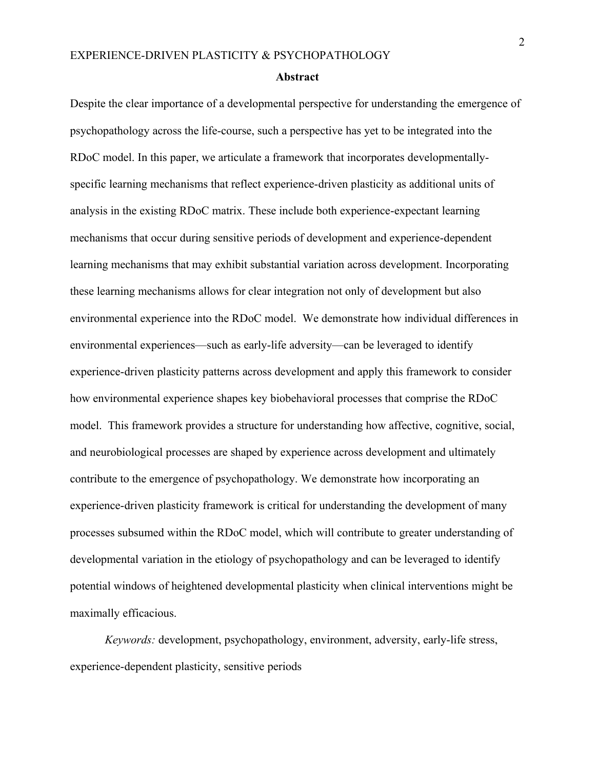#### **Abstract**

Despite the clear importance of a developmental perspective for understanding the emergence of psychopathology across the life-course, such a perspective has yet to be integrated into the RDoC model. In this paper, we articulate a framework that incorporates developmentallyspecific learning mechanisms that reflect experience-driven plasticity as additional units of analysis in the existing RDoC matrix. These include both experience-expectant learning mechanisms that occur during sensitive periods of development and experience-dependent learning mechanisms that may exhibit substantial variation across development. Incorporating these learning mechanisms allows for clear integration not only of development but also environmental experience into the RDoC model. We demonstrate how individual differences in environmental experiences—such as early-life adversity—can be leveraged to identify experience-driven plasticity patterns across development and apply this framework to consider how environmental experience shapes key biobehavioral processes that comprise the RDoC model. This framework provides a structure for understanding how affective, cognitive, social, and neurobiological processes are shaped by experience across development and ultimately contribute to the emergence of psychopathology. We demonstrate how incorporating an experience-driven plasticity framework is critical for understanding the development of many processes subsumed within the RDoC model, which will contribute to greater understanding of developmental variation in the etiology of psychopathology and can be leveraged to identify potential windows of heightened developmental plasticity when clinical interventions might be maximally efficacious.

*Keywords:* development, psychopathology, environment, adversity, early-life stress, experience-dependent plasticity, sensitive periods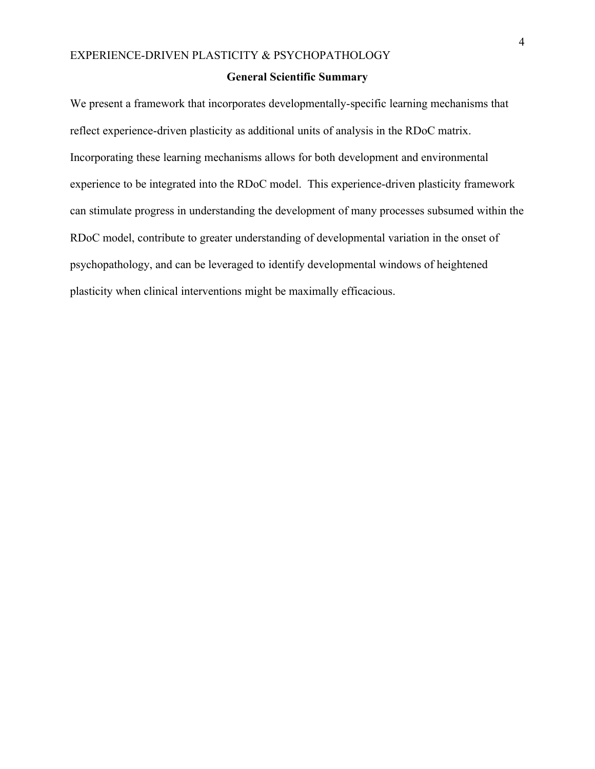#### **General Scientific Summary**

We present a framework that incorporates developmentally-specific learning mechanisms that reflect experience-driven plasticity as additional units of analysis in the RDoC matrix. Incorporating these learning mechanisms allows for both development and environmental experience to be integrated into the RDoC model. This experience-driven plasticity framework can stimulate progress in understanding the development of many processes subsumed within the RDoC model, contribute to greater understanding of developmental variation in the onset of psychopathology, and can be leveraged to identify developmental windows of heightened plasticity when clinical interventions might be maximally efficacious.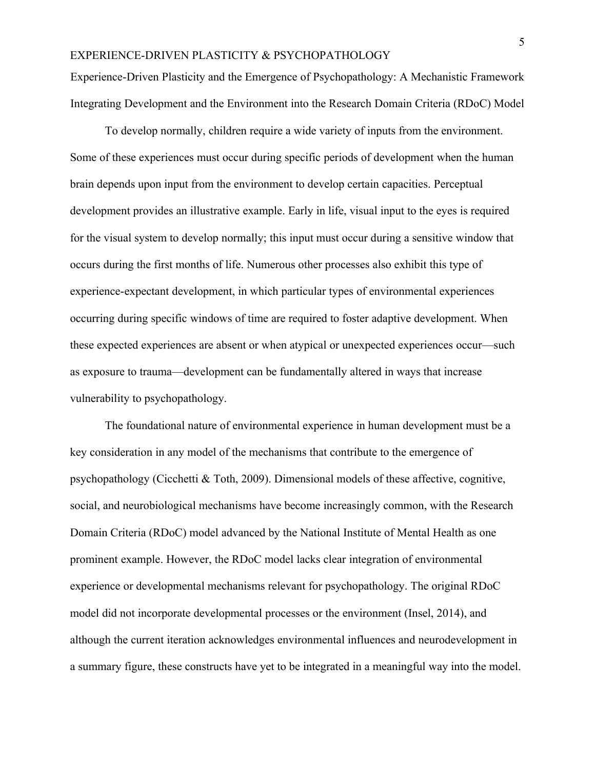Experience-Driven Plasticity and the Emergence of Psychopathology: A Mechanistic Framework Integrating Development and the Environment into the Research Domain Criteria (RDoC) Model

To develop normally, children require a wide variety of inputs from the environment. Some of these experiences must occur during specific periods of development when the human brain depends upon input from the environment to develop certain capacities. Perceptual development provides an illustrative example. Early in life, visual input to the eyes is required for the visual system to develop normally; this input must occur during a sensitive window that occurs during the first months of life. Numerous other processes also exhibit this type of experience-expectant development, in which particular types of environmental experiences occurring during specific windows of time are required to foster adaptive development. When these expected experiences are absent or when atypical or unexpected experiences occur—such as exposure to trauma—development can be fundamentally altered in ways that increase vulnerability to psychopathology.

The foundational nature of environmental experience in human development must be a key consideration in any model of the mechanisms that contribute to the emergence of psychopathology (Cicchetti  $\&$  Toth, 2009). Dimensional models of these affective, cognitive, social, and neurobiological mechanisms have become increasingly common, with the Research Domain Criteria (RDoC) model advanced by the National Institute of Mental Health as one prominent example. However, the RDoC model lacks clear integration of environmental experience or developmental mechanisms relevant for psychopathology. The original RDoC model did not incorporate developmental processes or the environment (Insel, 2014), and although the current iteration acknowledges environmental influences and neurodevelopment in a summary figure, these constructs have yet to be integrated in a meaningful way into the model.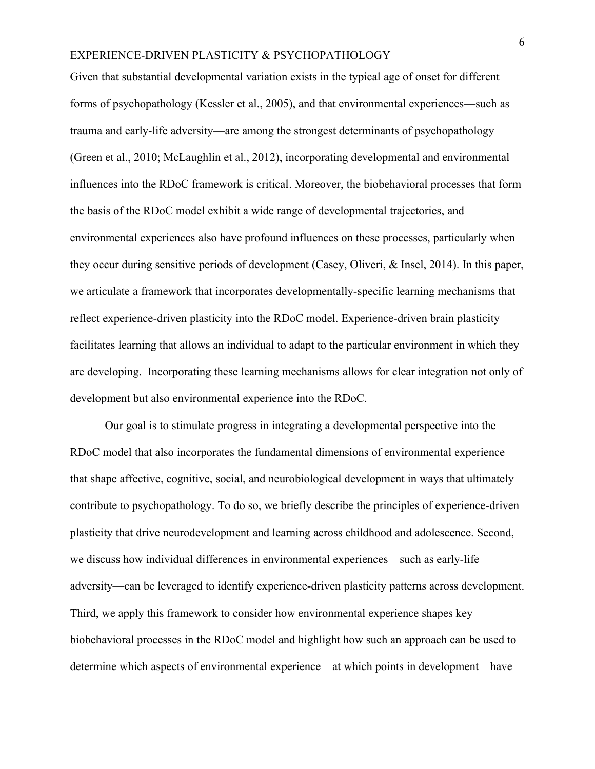Given that substantial developmental variation exists in the typical age of onset for different forms of psychopathology (Kessler et al., 2005), and that environmental experiences—such as trauma and early-life adversity—are among the strongest determinants of psychopathology (Green et al., 2010; McLaughlin et al., 2012), incorporating developmental and environmental influences into the RDoC framework is critical. Moreover, the biobehavioral processes that form the basis of the RDoC model exhibit a wide range of developmental trajectories, and environmental experiences also have profound influences on these processes, particularly when they occur during sensitive periods of development (Casey, Oliveri, & Insel, 2014). In this paper, we articulate a framework that incorporates developmentally-specific learning mechanisms that reflect experience-driven plasticity into the RDoC model. Experience-driven brain plasticity facilitates learning that allows an individual to adapt to the particular environment in which they are developing. Incorporating these learning mechanisms allows for clear integration not only of development but also environmental experience into the RDoC.

Our goal is to stimulate progress in integrating a developmental perspective into the RDoC model that also incorporates the fundamental dimensions of environmental experience that shape affective, cognitive, social, and neurobiological development in ways that ultimately contribute to psychopathology. To do so, we briefly describe the principles of experience-driven plasticity that drive neurodevelopment and learning across childhood and adolescence. Second, we discuss how individual differences in environmental experiences—such as early-life adversity—can be leveraged to identify experience-driven plasticity patterns across development. Third, we apply this framework to consider how environmental experience shapes key biobehavioral processes in the RDoC model and highlight how such an approach can be used to determine which aspects of environmental experience—at which points in development—have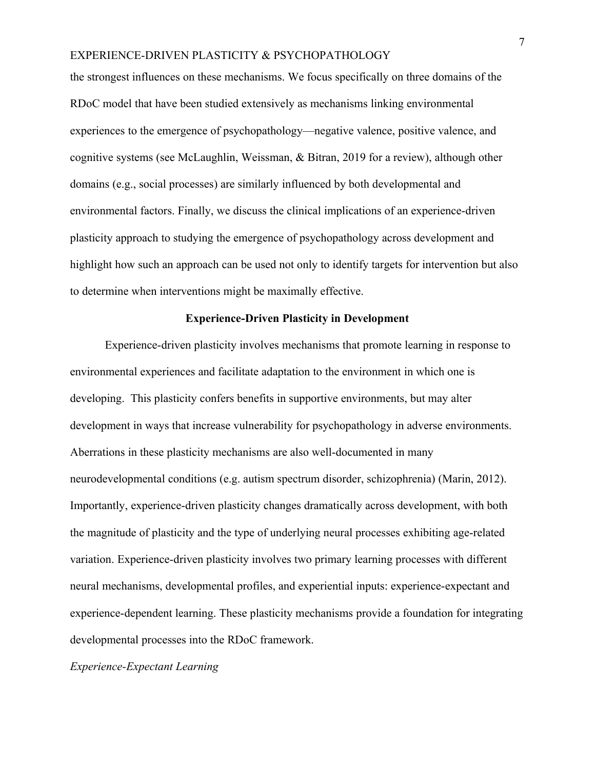the strongest influences on these mechanisms. We focus specifically on three domains of the RDoC model that have been studied extensively as mechanisms linking environmental experiences to the emergence of psychopathology—negative valence, positive valence, and cognitive systems (see McLaughlin, Weissman, & Bitran, 2019 for a review), although other domains (e.g., social processes) are similarly influenced by both developmental and environmental factors. Finally, we discuss the clinical implications of an experience-driven plasticity approach to studying the emergence of psychopathology across development and highlight how such an approach can be used not only to identify targets for intervention but also to determine when interventions might be maximally effective.

#### **Experience-Driven Plasticity in Development**

Experience-driven plasticity involves mechanisms that promote learning in response to environmental experiences and facilitate adaptation to the environment in which one is developing. This plasticity confers benefits in supportive environments, but may alter development in ways that increase vulnerability for psychopathology in adverse environments. Aberrations in these plasticity mechanisms are also well-documented in many neurodevelopmental conditions (e.g. autism spectrum disorder, schizophrenia) (Marin, 2012). Importantly, experience-driven plasticity changes dramatically across development, with both the magnitude of plasticity and the type of underlying neural processes exhibiting age-related variation. Experience-driven plasticity involves two primary learning processes with different neural mechanisms, developmental profiles, and experiential inputs: experience-expectant and experience-dependent learning. These plasticity mechanisms provide a foundation for integrating developmental processes into the RDoC framework.

### *Experience-Expectant Learning*

7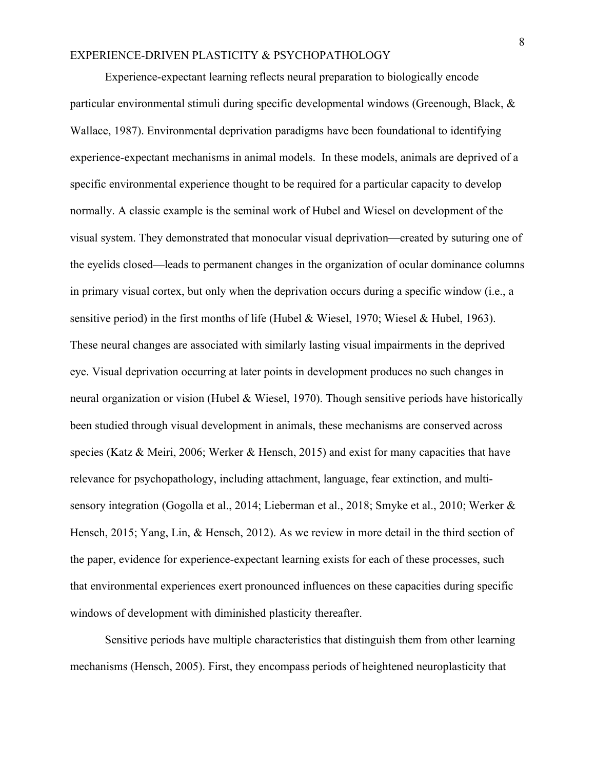Experience-expectant learning reflects neural preparation to biologically encode particular environmental stimuli during specific developmental windows (Greenough, Black, & Wallace, 1987). Environmental deprivation paradigms have been foundational to identifying experience-expectant mechanisms in animal models. In these models, animals are deprived of a specific environmental experience thought to be required for a particular capacity to develop normally. A classic example is the seminal work of Hubel and Wiesel on development of the visual system. They demonstrated that monocular visual deprivation—created by suturing one of the eyelids closed—leads to permanent changes in the organization of ocular dominance columns in primary visual cortex, but only when the deprivation occurs during a specific window (i.e., a sensitive period) in the first months of life (Hubel & Wiesel, 1970; Wiesel & Hubel, 1963). These neural changes are associated with similarly lasting visual impairments in the deprived eye. Visual deprivation occurring at later points in development produces no such changes in neural organization or vision (Hubel & Wiesel, 1970). Though sensitive periods have historically been studied through visual development in animals, these mechanisms are conserved across species (Katz & Meiri, 2006; Werker & Hensch, 2015) and exist for many capacities that have relevance for psychopathology, including attachment, language, fear extinction, and multisensory integration (Gogolla et al., 2014; Lieberman et al., 2018; Smyke et al., 2010; Werker & Hensch, 2015; Yang, Lin, & Hensch, 2012). As we review in more detail in the third section of the paper, evidence for experience-expectant learning exists for each of these processes, such that environmental experiences exert pronounced influences on these capacities during specific windows of development with diminished plasticity thereafter.

Sensitive periods have multiple characteristics that distinguish them from other learning mechanisms (Hensch, 2005). First, they encompass periods of heightened neuroplasticity that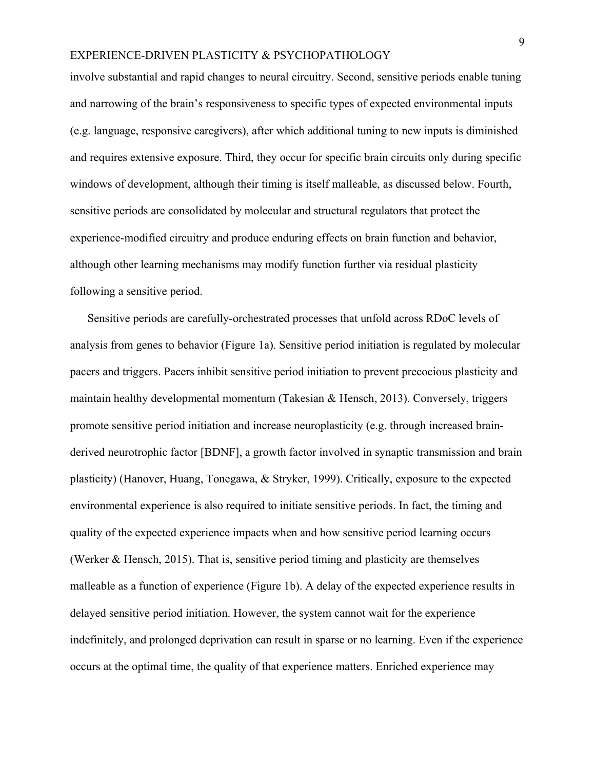involve substantial and rapid changes to neural circuitry. Second, sensitive periods enable tuning and narrowing of the brain's responsiveness to specific types of expected environmental inputs (e.g. language, responsive caregivers), after which additional tuning to new inputs is diminished and requires extensive exposure. Third, they occur for specific brain circuits only during specific windows of development, although their timing is itself malleable, as discussed below. Fourth, sensitive periods are consolidated by molecular and structural regulators that protect the experience-modified circuitry and produce enduring effects on brain function and behavior, although other learning mechanisms may modify function further via residual plasticity following a sensitive period.

Sensitive periods are carefully-orchestrated processes that unfold across RDoC levels of analysis from genes to behavior (Figure 1a). Sensitive period initiation is regulated by molecular pacers and triggers. Pacers inhibit sensitive period initiation to prevent precocious plasticity and maintain healthy developmental momentum (Takesian & Hensch, 2013). Conversely, triggers promote sensitive period initiation and increase neuroplasticity (e.g. through increased brainderived neurotrophic factor [BDNF], a growth factor involved in synaptic transmission and brain plasticity) (Hanover, Huang, Tonegawa, & Stryker, 1999). Critically, exposure to the expected environmental experience is also required to initiate sensitive periods. In fact, the timing and quality of the expected experience impacts when and how sensitive period learning occurs (Werker & Hensch, 2015). That is, sensitive period timing and plasticity are themselves malleable as a function of experience (Figure 1b). A delay of the expected experience results in delayed sensitive period initiation. However, the system cannot wait for the experience indefinitely, and prolonged deprivation can result in sparse or no learning. Even if the experience occurs at the optimal time, the quality of that experience matters. Enriched experience may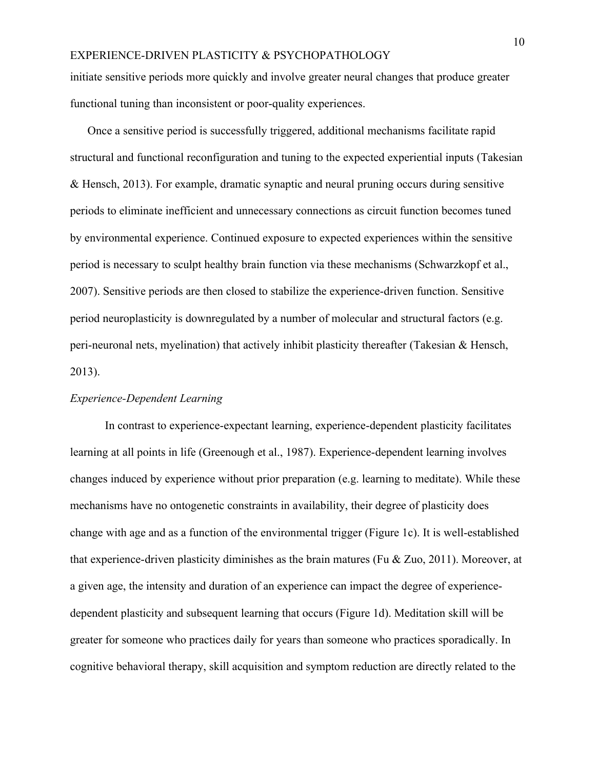initiate sensitive periods more quickly and involve greater neural changes that produce greater functional tuning than inconsistent or poor-quality experiences.

Once a sensitive period is successfully triggered, additional mechanisms facilitate rapid structural and functional reconfiguration and tuning to the expected experiential inputs (Takesian & Hensch, 2013). For example, dramatic synaptic and neural pruning occurs during sensitive periods to eliminate inefficient and unnecessary connections as circuit function becomes tuned by environmental experience. Continued exposure to expected experiences within the sensitive period is necessary to sculpt healthy brain function via these mechanisms (Schwarzkopf et al., 2007). Sensitive periods are then closed to stabilize the experience-driven function. Sensitive period neuroplasticity is downregulated by a number of molecular and structural factors (e.g. peri-neuronal nets, myelination) that actively inhibit plasticity thereafter (Takesian & Hensch, 2013).

#### *Experience-Dependent Learning*

In contrast to experience-expectant learning, experience-dependent plasticity facilitates learning at all points in life (Greenough et al., 1987). Experience-dependent learning involves changes induced by experience without prior preparation (e.g. learning to meditate). While these mechanisms have no ontogenetic constraints in availability, their degree of plasticity does change with age and as a function of the environmental trigger (Figure 1c). It is well-established that experience-driven plasticity diminishes as the brain matures (Fu  $\&$  Zuo, 2011). Moreover, at a given age, the intensity and duration of an experience can impact the degree of experiencedependent plasticity and subsequent learning that occurs (Figure 1d). Meditation skill will be greater for someone who practices daily for years than someone who practices sporadically. In cognitive behavioral therapy, skill acquisition and symptom reduction are directly related to the

10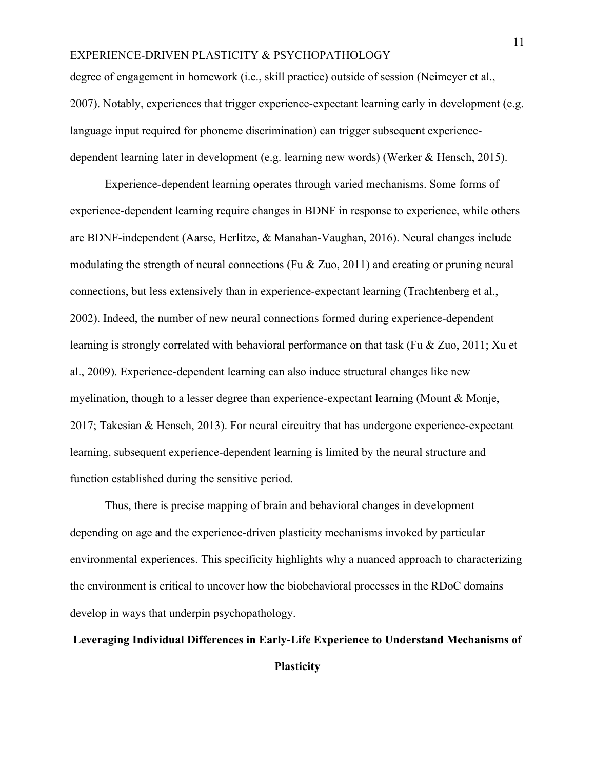degree of engagement in homework (i.e., skill practice) outside of session (Neimeyer et al., 2007). Notably, experiences that trigger experience-expectant learning early in development (e.g. language input required for phoneme discrimination) can trigger subsequent experiencedependent learning later in development (e.g. learning new words) (Werker & Hensch, 2015).

Experience-dependent learning operates through varied mechanisms. Some forms of experience-dependent learning require changes in BDNF in response to experience, while others are BDNF-independent (Aarse, Herlitze, & Manahan-Vaughan, 2016). Neural changes include modulating the strength of neural connections (Fu & Zuo, 2011) and creating or pruning neural connections, but less extensively than in experience-expectant learning (Trachtenberg et al., 2002). Indeed, the number of new neural connections formed during experience-dependent learning is strongly correlated with behavioral performance on that task (Fu & Zuo, 2011; Xu et al., 2009). Experience-dependent learning can also induce structural changes like new myelination, though to a lesser degree than experience-expectant learning (Mount & Monje, 2017; Takesian & Hensch, 2013). For neural circuitry that has undergone experience-expectant learning, subsequent experience-dependent learning is limited by the neural structure and function established during the sensitive period.

Thus, there is precise mapping of brain and behavioral changes in development depending on age and the experience-driven plasticity mechanisms invoked by particular environmental experiences. This specificity highlights why a nuanced approach to characterizing the environment is critical to uncover how the biobehavioral processes in the RDoC domains develop in ways that underpin psychopathology.

## **Leveraging Individual Differences in Early-Life Experience to Understand Mechanisms of**

## **Plasticity**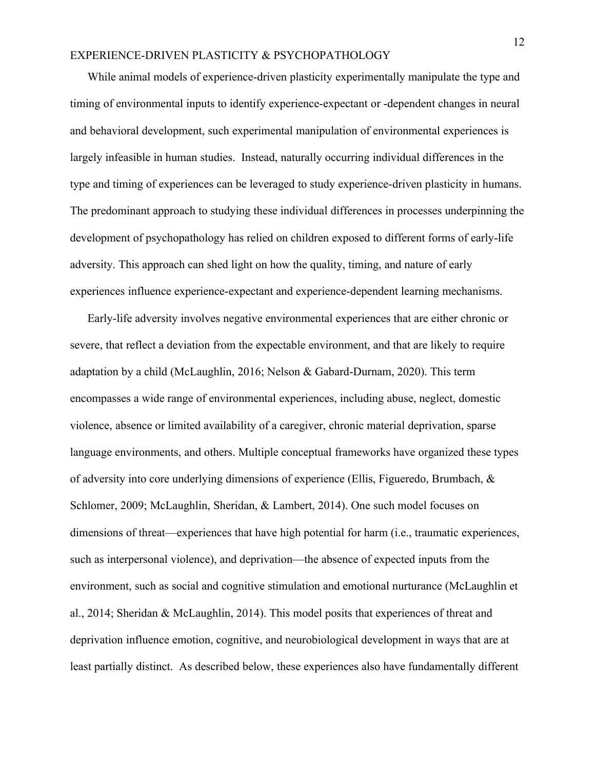While animal models of experience-driven plasticity experimentally manipulate the type and timing of environmental inputs to identify experience-expectant or -dependent changes in neural and behavioral development, such experimental manipulation of environmental experiences is largely infeasible in human studies. Instead, naturally occurring individual differences in the type and timing of experiences can be leveraged to study experience-driven plasticity in humans. The predominant approach to studying these individual differences in processes underpinning the development of psychopathology has relied on children exposed to different forms of early-life adversity. This approach can shed light on how the quality, timing, and nature of early experiences influence experience-expectant and experience-dependent learning mechanisms.

Early-life adversity involves negative environmental experiences that are either chronic or severe, that reflect a deviation from the expectable environment, and that are likely to require adaptation by a child (McLaughlin, 2016; Nelson & Gabard-Durnam, 2020). This term encompasses a wide range of environmental experiences, including abuse, neglect, domestic violence, absence or limited availability of a caregiver, chronic material deprivation, sparse language environments, and others. Multiple conceptual frameworks have organized these types of adversity into core underlying dimensions of experience (Ellis, Figueredo, Brumbach, & Schlomer, 2009; McLaughlin, Sheridan, & Lambert, 2014). One such model focuses on dimensions of threat—experiences that have high potential for harm (i.e., traumatic experiences, such as interpersonal violence), and deprivation—the absence of expected inputs from the environment, such as social and cognitive stimulation and emotional nurturance (McLaughlin et al., 2014; Sheridan & McLaughlin, 2014). This model posits that experiences of threat and deprivation influence emotion, cognitive, and neurobiological development in ways that are at least partially distinct. As described below, these experiences also have fundamentally different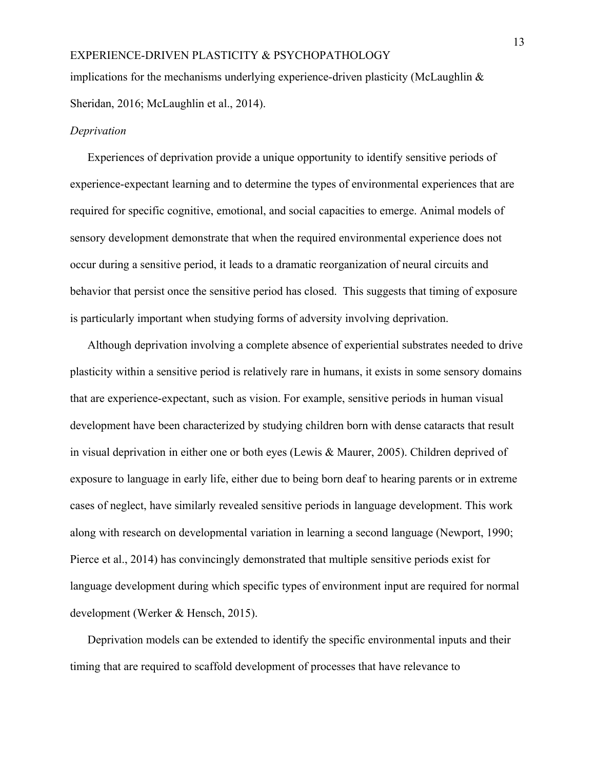implications for the mechanisms underlying experience-driven plasticity (McLaughlin  $\&$ Sheridan, 2016; McLaughlin et al., 2014).

#### *Deprivation*

Experiences of deprivation provide a unique opportunity to identify sensitive periods of experience-expectant learning and to determine the types of environmental experiences that are required for specific cognitive, emotional, and social capacities to emerge. Animal models of sensory development demonstrate that when the required environmental experience does not occur during a sensitive period, it leads to a dramatic reorganization of neural circuits and behavior that persist once the sensitive period has closed. This suggests that timing of exposure is particularly important when studying forms of adversity involving deprivation.

Although deprivation involving a complete absence of experiential substrates needed to drive plasticity within a sensitive period is relatively rare in humans, it exists in some sensory domains that are experience-expectant, such as vision. For example, sensitive periods in human visual development have been characterized by studying children born with dense cataracts that result in visual deprivation in either one or both eyes (Lewis & Maurer, 2005). Children deprived of exposure to language in early life, either due to being born deaf to hearing parents or in extreme cases of neglect, have similarly revealed sensitive periods in language development. This work along with research on developmental variation in learning a second language (Newport, 1990; Pierce et al., 2014) has convincingly demonstrated that multiple sensitive periods exist for language development during which specific types of environment input are required for normal development (Werker & Hensch, 2015).

Deprivation models can be extended to identify the specific environmental inputs and their timing that are required to scaffold development of processes that have relevance to

13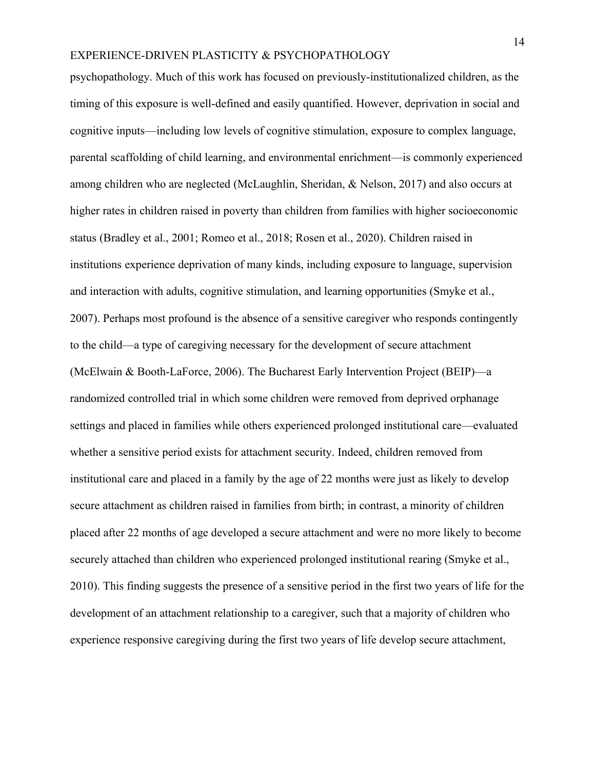psychopathology. Much of this work has focused on previously-institutionalized children, as the timing of this exposure is well-defined and easily quantified. However, deprivation in social and cognitive inputs—including low levels of cognitive stimulation, exposure to complex language, parental scaffolding of child learning, and environmental enrichment—is commonly experienced among children who are neglected (McLaughlin, Sheridan, & Nelson, 2017) and also occurs at higher rates in children raised in poverty than children from families with higher socioeconomic status (Bradley et al., 2001; Romeo et al., 2018; Rosen et al., 2020). Children raised in institutions experience deprivation of many kinds, including exposure to language, supervision and interaction with adults, cognitive stimulation, and learning opportunities (Smyke et al., 2007). Perhaps most profound is the absence of a sensitive caregiver who responds contingently to the child—a type of caregiving necessary for the development of secure attachment (McElwain & Booth-LaForce, 2006). The Bucharest Early Intervention Project (BEIP)—a randomized controlled trial in which some children were removed from deprived orphanage settings and placed in families while others experienced prolonged institutional care—evaluated whether a sensitive period exists for attachment security. Indeed, children removed from institutional care and placed in a family by the age of 22 months were just as likely to develop secure attachment as children raised in families from birth; in contrast, a minority of children placed after 22 months of age developed a secure attachment and were no more likely to become securely attached than children who experienced prolonged institutional rearing (Smyke et al., 2010). This finding suggests the presence of a sensitive period in the first two years of life for the development of an attachment relationship to a caregiver, such that a majority of children who experience responsive caregiving during the first two years of life develop secure attachment,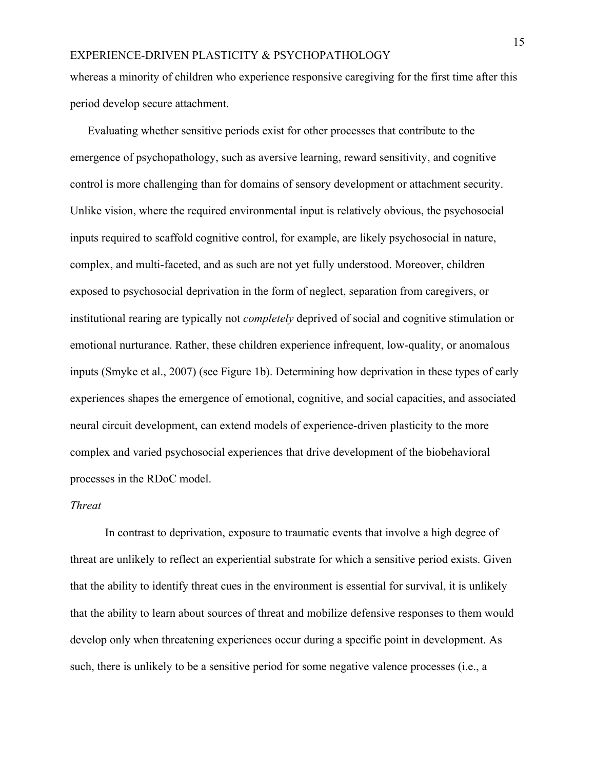whereas a minority of children who experience responsive caregiving for the first time after this period develop secure attachment.

Evaluating whether sensitive periods exist for other processes that contribute to the emergence of psychopathology, such as aversive learning, reward sensitivity, and cognitive control is more challenging than for domains of sensory development or attachment security. Unlike vision, where the required environmental input is relatively obvious, the psychosocial inputs required to scaffold cognitive control, for example, are likely psychosocial in nature, complex, and multi-faceted, and as such are not yet fully understood. Moreover, children exposed to psychosocial deprivation in the form of neglect, separation from caregivers, or institutional rearing are typically not *completely* deprived of social and cognitive stimulation or emotional nurturance. Rather, these children experience infrequent, low-quality, or anomalous inputs (Smyke et al., 2007) (see Figure 1b). Determining how deprivation in these types of early experiences shapes the emergence of emotional, cognitive, and social capacities, and associated neural circuit development, can extend models of experience-driven plasticity to the more complex and varied psychosocial experiences that drive development of the biobehavioral processes in the RDoC model.

#### *Threat*

In contrast to deprivation, exposure to traumatic events that involve a high degree of threat are unlikely to reflect an experiential substrate for which a sensitive period exists. Given that the ability to identify threat cues in the environment is essential for survival, it is unlikely that the ability to learn about sources of threat and mobilize defensive responses to them would develop only when threatening experiences occur during a specific point in development. As such, there is unlikely to be a sensitive period for some negative valence processes (i.e., a

15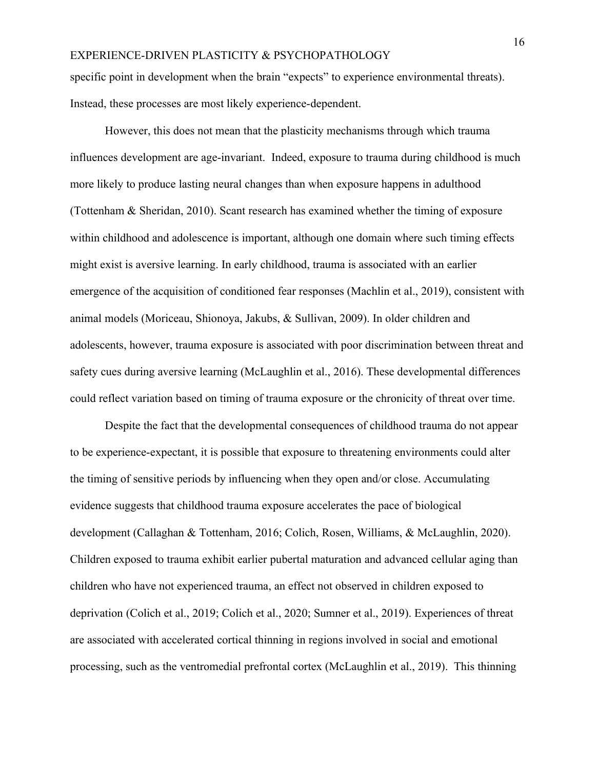specific point in development when the brain "expects" to experience environmental threats). Instead, these processes are most likely experience-dependent.

However, this does not mean that the plasticity mechanisms through which trauma influences development are age-invariant. Indeed, exposure to trauma during childhood is much more likely to produce lasting neural changes than when exposure happens in adulthood (Tottenham & Sheridan, 2010). Scant research has examined whether the timing of exposure within childhood and adolescence is important, although one domain where such timing effects might exist is aversive learning. In early childhood, trauma is associated with an earlier emergence of the acquisition of conditioned fear responses (Machlin et al., 2019), consistent with animal models (Moriceau, Shionoya, Jakubs, & Sullivan, 2009). In older children and adolescents, however, trauma exposure is associated with poor discrimination between threat and safety cues during aversive learning (McLaughlin et al., 2016). These developmental differences could reflect variation based on timing of trauma exposure or the chronicity of threat over time.

Despite the fact that the developmental consequences of childhood trauma do not appear to be experience-expectant, it is possible that exposure to threatening environments could alter the timing of sensitive periods by influencing when they open and/or close. Accumulating evidence suggests that childhood trauma exposure accelerates the pace of biological development (Callaghan & Tottenham, 2016; Colich, Rosen, Williams, & McLaughlin, 2020). Children exposed to trauma exhibit earlier pubertal maturation and advanced cellular aging than children who have not experienced trauma, an effect not observed in children exposed to deprivation (Colich et al., 2019; Colich et al., 2020; Sumner et al., 2019). Experiences of threat are associated with accelerated cortical thinning in regions involved in social and emotional processing, such as the ventromedial prefrontal cortex (McLaughlin et al., 2019). This thinning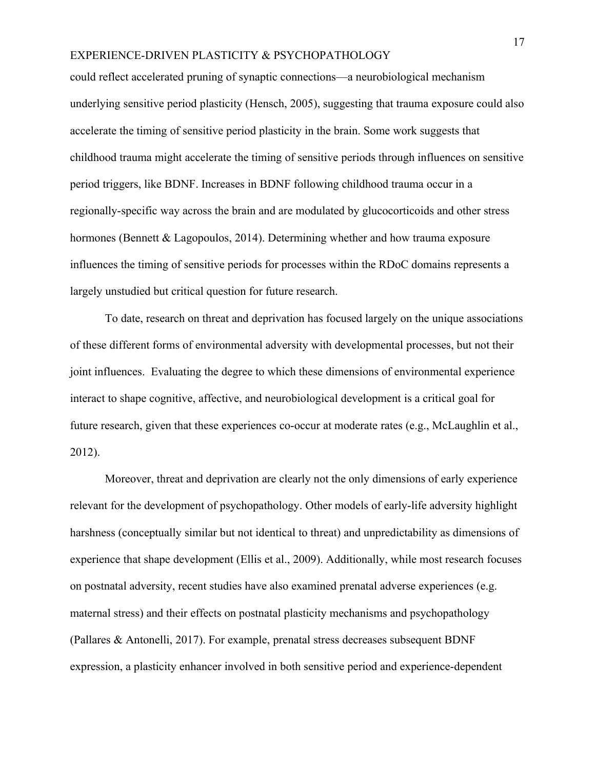could reflect accelerated pruning of synaptic connections—a neurobiological mechanism underlying sensitive period plasticity (Hensch, 2005), suggesting that trauma exposure could also accelerate the timing of sensitive period plasticity in the brain. Some work suggests that childhood trauma might accelerate the timing of sensitive periods through influences on sensitive period triggers, like BDNF. Increases in BDNF following childhood trauma occur in a regionally-specific way across the brain and are modulated by glucocorticoids and other stress hormones (Bennett & Lagopoulos, 2014). Determining whether and how trauma exposure influences the timing of sensitive periods for processes within the RDoC domains represents a largely unstudied but critical question for future research.

To date, research on threat and deprivation has focused largely on the unique associations of these different forms of environmental adversity with developmental processes, but not their joint influences. Evaluating the degree to which these dimensions of environmental experience interact to shape cognitive, affective, and neurobiological development is a critical goal for future research, given that these experiences co-occur at moderate rates (e.g., McLaughlin et al., 2012).

Moreover, threat and deprivation are clearly not the only dimensions of early experience relevant for the development of psychopathology. Other models of early-life adversity highlight harshness (conceptually similar but not identical to threat) and unpredictability as dimensions of experience that shape development (Ellis et al., 2009). Additionally, while most research focuses on postnatal adversity, recent studies have also examined prenatal adverse experiences (e.g. maternal stress) and their effects on postnatal plasticity mechanisms and psychopathology (Pallares & Antonelli, 2017). For example, prenatal stress decreases subsequent BDNF expression, a plasticity enhancer involved in both sensitive period and experience-dependent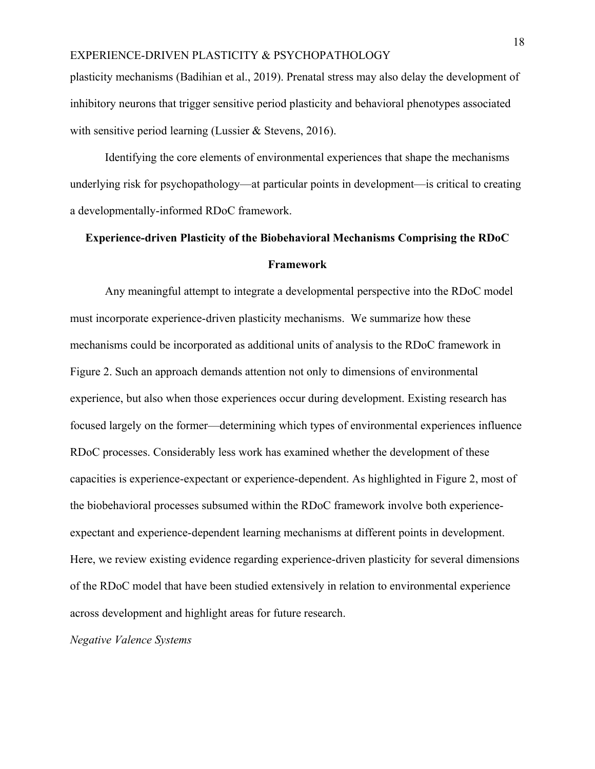plasticity mechanisms (Badihian et al., 2019). Prenatal stress may also delay the development of inhibitory neurons that trigger sensitive period plasticity and behavioral phenotypes associated with sensitive period learning (Lussier & Stevens, 2016).

Identifying the core elements of environmental experiences that shape the mechanisms underlying risk for psychopathology—at particular points in development—is critical to creating a developmentally-informed RDoC framework.

# **Experience-driven Plasticity of the Biobehavioral Mechanisms Comprising the RDoC Framework**

Any meaningful attempt to integrate a developmental perspective into the RDoC model must incorporate experience-driven plasticity mechanisms. We summarize how these mechanisms could be incorporated as additional units of analysis to the RDoC framework in Figure 2. Such an approach demands attention not only to dimensions of environmental experience, but also when those experiences occur during development. Existing research has focused largely on the former—determining which types of environmental experiences influence RDoC processes. Considerably less work has examined whether the development of these capacities is experience-expectant or experience-dependent. As highlighted in Figure 2, most of the biobehavioral processes subsumed within the RDoC framework involve both experienceexpectant and experience-dependent learning mechanisms at different points in development. Here, we review existing evidence regarding experience-driven plasticity for several dimensions of the RDoC model that have been studied extensively in relation to environmental experience across development and highlight areas for future research.

*Negative Valence Systems*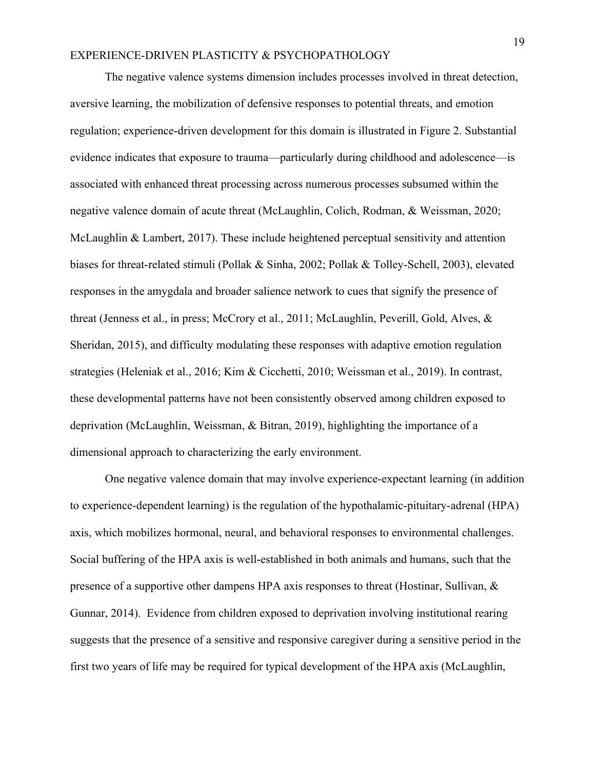The negative valence systems dimension includes processes involved in threat detection, aversive learning, the mobilization of defensive responses to potential threats, and emotion regulation; experience-driven development for this domain is illustrated in Figure 2. Substantial evidence indicates that exposure to trauma—particularly during childhood and adolescence—is associated with enhanced threat processing across numerous processes subsumed within the negative valence domain of acute threat (McLaughlin, Colich, Rodman, & Weissman, 2020; McLaughlin & Lambert, 2017). These include heightened perceptual sensitivity and attention biases for threat-related stimuli (Pollak & Sinha, 2002; Pollak & Tolley-Schell, 2003), elevated responses in the amygdala and broader salience network to cues that signify the presence of threat (Jenness et al., in press; McCrory et al., 2011; McLaughlin, Peverill, Gold, Alves, & Sheridan, 2015), and difficulty modulating these responses with adaptive emotion regulation strategies (Heleniak et al., 2016; Kim & Cicchetti, 2010; Weissman et al., 2019). In contrast, these developmental patterns have not been consistently observed among children exposed to deprivation (McLaughlin, Weissman, & Bitran, 2019), highlighting the importance of a dimensional approach to characterizing the early environment.

One negative valence domain that may involve experience-expectant learning (in addition to experience-dependent learning) is the regulation of the hypothalamic-pituitary-adrenal (HPA) axis, which mobilizes hormonal, neural, and behavioral responses to environmental challenges. Social buffering of the HPA axis is well-established in both animals and humans, such that the presence of a supportive other dampens HPA axis responses to threat (Hostinar, Sullivan, & Gunnar, 2014). Evidence from children exposed to deprivation involving institutional rearing suggests that the presence of a sensitive and responsive caregiver during a sensitive period in the first two years of life may be required for typical development of the HPA axis (McLaughlin,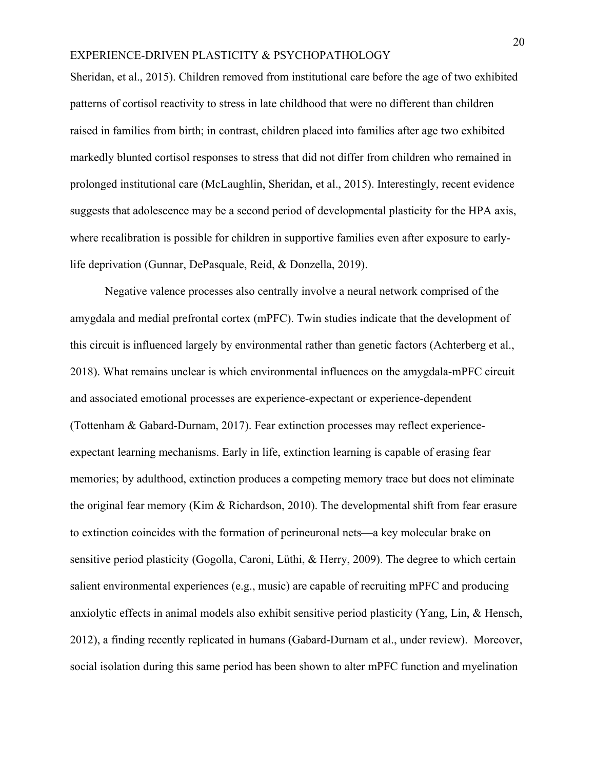Sheridan, et al., 2015). Children removed from institutional care before the age of two exhibited patterns of cortisol reactivity to stress in late childhood that were no different than children raised in families from birth; in contrast, children placed into families after age two exhibited markedly blunted cortisol responses to stress that did not differ from children who remained in prolonged institutional care (McLaughlin, Sheridan, et al., 2015). Interestingly, recent evidence suggests that adolescence may be a second period of developmental plasticity for the HPA axis, where recalibration is possible for children in supportive families even after exposure to earlylife deprivation (Gunnar, DePasquale, Reid, & Donzella, 2019).

Negative valence processes also centrally involve a neural network comprised of the amygdala and medial prefrontal cortex (mPFC). Twin studies indicate that the development of this circuit is influenced largely by environmental rather than genetic factors (Achterberg et al., 2018). What remains unclear is which environmental influences on the amygdala-mPFC circuit and associated emotional processes are experience-expectant or experience-dependent (Tottenham & Gabard-Durnam, 2017). Fear extinction processes may reflect experienceexpectant learning mechanisms. Early in life, extinction learning is capable of erasing fear memories; by adulthood, extinction produces a competing memory trace but does not eliminate the original fear memory (Kim & Richardson, 2010). The developmental shift from fear erasure to extinction coincides with the formation of perineuronal nets—a key molecular brake on sensitive period plasticity (Gogolla, Caroni, Lüthi, & Herry, 2009). The degree to which certain salient environmental experiences (e.g., music) are capable of recruiting mPFC and producing anxiolytic effects in animal models also exhibit sensitive period plasticity (Yang, Lin, & Hensch, 2012), a finding recently replicated in humans (Gabard-Durnam et al., under review). Moreover, social isolation during this same period has been shown to alter mPFC function and myelination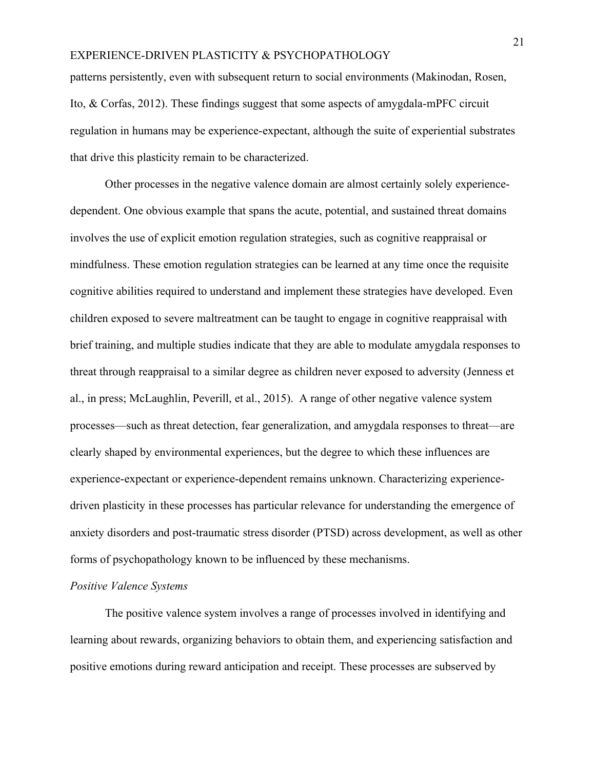patterns persistently, even with subsequent return to social environments (Makinodan, Rosen, Ito, & Corfas, 2012). These findings suggest that some aspects of amygdala-mPFC circuit regulation in humans may be experience-expectant, although the suite of experiential substrates that drive this plasticity remain to be characterized.

Other processes in the negative valence domain are almost certainly solely experiencedependent. One obvious example that spans the acute, potential, and sustained threat domains involves the use of explicit emotion regulation strategies, such as cognitive reappraisal or mindfulness. These emotion regulation strategies can be learned at any time once the requisite cognitive abilities required to understand and implement these strategies have developed. Even children exposed to severe maltreatment can be taught to engage in cognitive reappraisal with brief training, and multiple studies indicate that they are able to modulate amygdala responses to threat through reappraisal to a similar degree as children never exposed to adversity (Jenness et al., in press; McLaughlin, Peverill, et al., 2015). A range of other negative valence system processes—such as threat detection, fear generalization, and amygdala responses to threat—are clearly shaped by environmental experiences, but the degree to which these influences are experience-expectant or experience-dependent remains unknown. Characterizing experiencedriven plasticity in these processes has particular relevance for understanding the emergence of anxiety disorders and post-traumatic stress disorder (PTSD) across development, as well as other forms of psychopathology known to be influenced by these mechanisms.

#### *Positive Valence Systems*

The positive valence system involves a range of processes involved in identifying and learning about rewards, organizing behaviors to obtain them, and experiencing satisfaction and positive emotions during reward anticipation and receipt. These processes are subserved by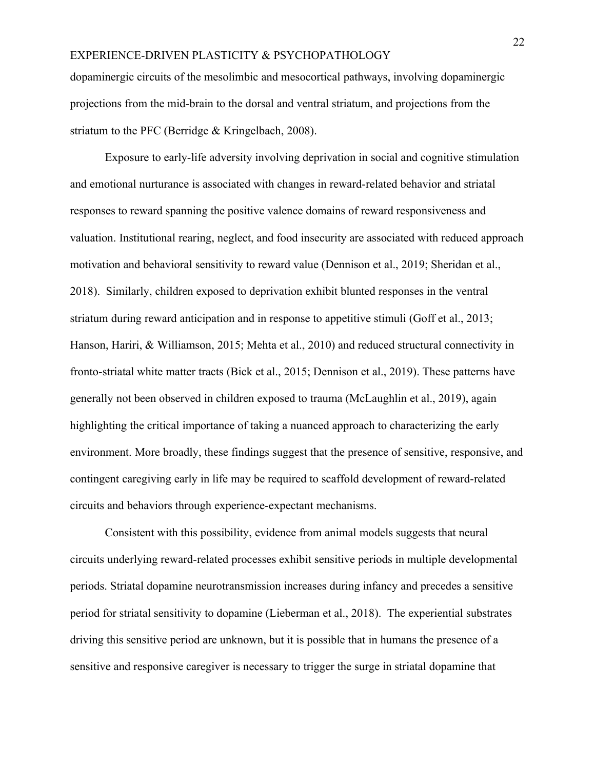dopaminergic circuits of the mesolimbic and mesocortical pathways, involving dopaminergic projections from the mid-brain to the dorsal and ventral striatum, and projections from the striatum to the PFC (Berridge & Kringelbach, 2008).

Exposure to early-life adversity involving deprivation in social and cognitive stimulation and emotional nurturance is associated with changes in reward-related behavior and striatal responses to reward spanning the positive valence domains of reward responsiveness and valuation. Institutional rearing, neglect, and food insecurity are associated with reduced approach motivation and behavioral sensitivity to reward value (Dennison et al., 2019; Sheridan et al., 2018). Similarly, children exposed to deprivation exhibit blunted responses in the ventral striatum during reward anticipation and in response to appetitive stimuli (Goff et al., 2013; Hanson, Hariri, & Williamson, 2015; Mehta et al., 2010) and reduced structural connectivity in fronto-striatal white matter tracts (Bick et al., 2015; Dennison et al., 2019). These patterns have generally not been observed in children exposed to trauma (McLaughlin et al., 2019), again highlighting the critical importance of taking a nuanced approach to characterizing the early environment. More broadly, these findings suggest that the presence of sensitive, responsive, and contingent caregiving early in life may be required to scaffold development of reward-related circuits and behaviors through experience-expectant mechanisms.

Consistent with this possibility, evidence from animal models suggests that neural circuits underlying reward-related processes exhibit sensitive periods in multiple developmental periods. Striatal dopamine neurotransmission increases during infancy and precedes a sensitive period for striatal sensitivity to dopamine (Lieberman et al., 2018). The experiential substrates driving this sensitive period are unknown, but it is possible that in humans the presence of a sensitive and responsive caregiver is necessary to trigger the surge in striatal dopamine that

22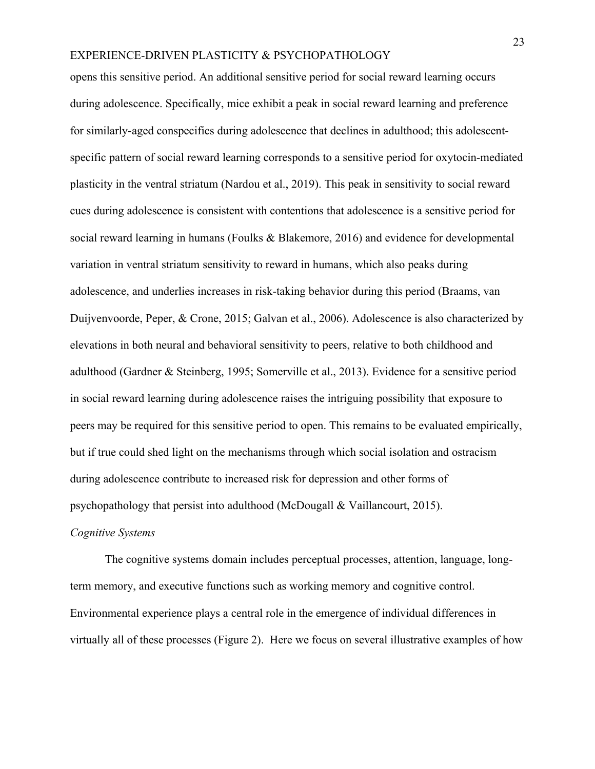opens this sensitive period. An additional sensitive period for social reward learning occurs during adolescence. Specifically, mice exhibit a peak in social reward learning and preference for similarly-aged conspecifics during adolescence that declines in adulthood; this adolescentspecific pattern of social reward learning corresponds to a sensitive period for oxytocin-mediated plasticity in the ventral striatum (Nardou et al., 2019). This peak in sensitivity to social reward cues during adolescence is consistent with contentions that adolescence is a sensitive period for social reward learning in humans (Foulks & Blakemore, 2016) and evidence for developmental variation in ventral striatum sensitivity to reward in humans, which also peaks during adolescence, and underlies increases in risk-taking behavior during this period (Braams, van Duijvenvoorde, Peper, & Crone, 2015; Galvan et al., 2006). Adolescence is also characterized by elevations in both neural and behavioral sensitivity to peers, relative to both childhood and adulthood (Gardner & Steinberg, 1995; Somerville et al., 2013). Evidence for a sensitive period in social reward learning during adolescence raises the intriguing possibility that exposure to peers may be required for this sensitive period to open. This remains to be evaluated empirically, but if true could shed light on the mechanisms through which social isolation and ostracism during adolescence contribute to increased risk for depression and other forms of psychopathology that persist into adulthood (McDougall & Vaillancourt, 2015).

#### *Cognitive Systems*

The cognitive systems domain includes perceptual processes, attention, language, longterm memory, and executive functions such as working memory and cognitive control. Environmental experience plays a central role in the emergence of individual differences in virtually all of these processes (Figure 2). Here we focus on several illustrative examples of how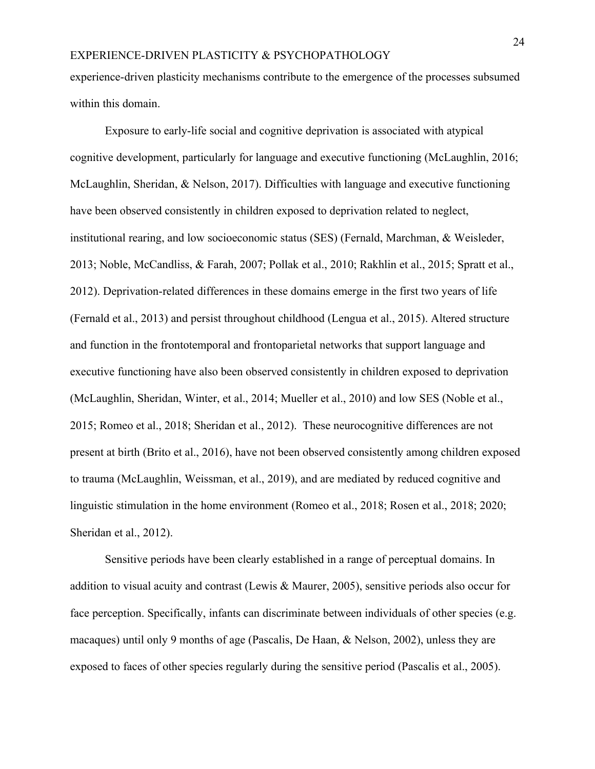experience-driven plasticity mechanisms contribute to the emergence of the processes subsumed within this domain.

Exposure to early-life social and cognitive deprivation is associated with atypical cognitive development, particularly for language and executive functioning (McLaughlin, 2016; McLaughlin, Sheridan, & Nelson, 2017). Difficulties with language and executive functioning have been observed consistently in children exposed to deprivation related to neglect, institutional rearing, and low socioeconomic status (SES) (Fernald, Marchman, & Weisleder, 2013; Noble, McCandliss, & Farah, 2007; Pollak et al., 2010; Rakhlin et al., 2015; Spratt et al., 2012). Deprivation-related differences in these domains emerge in the first two years of life (Fernald et al., 2013) and persist throughout childhood (Lengua et al., 2015). Altered structure and function in the frontotemporal and frontoparietal networks that support language and executive functioning have also been observed consistently in children exposed to deprivation (McLaughlin, Sheridan, Winter, et al., 2014; Mueller et al., 2010) and low SES (Noble et al., 2015; Romeo et al., 2018; Sheridan et al., 2012). These neurocognitive differences are not present at birth (Brito et al., 2016), have not been observed consistently among children exposed to trauma (McLaughlin, Weissman, et al., 2019), and are mediated by reduced cognitive and linguistic stimulation in the home environment (Romeo et al., 2018; Rosen et al., 2018; 2020; Sheridan et al., 2012).

Sensitive periods have been clearly established in a range of perceptual domains. In addition to visual acuity and contrast (Lewis & Maurer, 2005), sensitive periods also occur for face perception. Specifically, infants can discriminate between individuals of other species (e.g. macaques) until only 9 months of age (Pascalis, De Haan, & Nelson, 2002), unless they are exposed to faces of other species regularly during the sensitive period (Pascalis et al., 2005).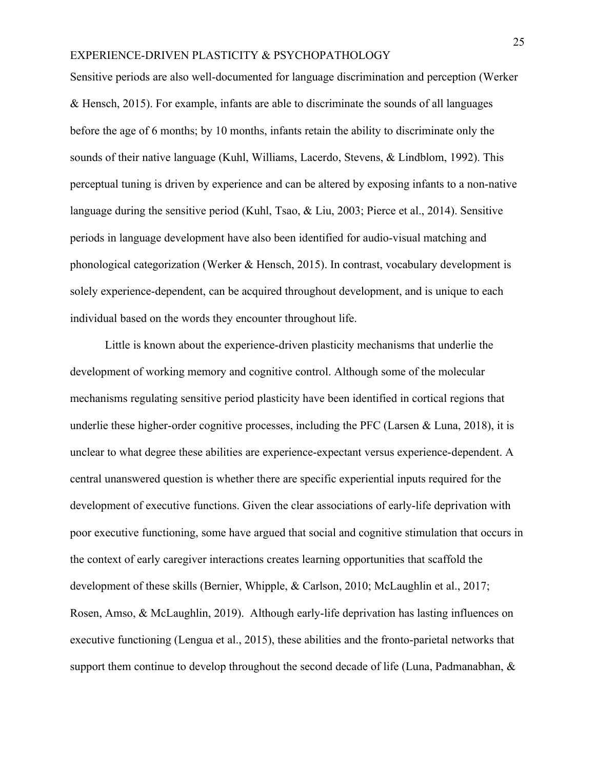Sensitive periods are also well-documented for language discrimination and perception (Werker & Hensch, 2015). For example, infants are able to discriminate the sounds of all languages before the age of 6 months; by 10 months, infants retain the ability to discriminate only the sounds of their native language (Kuhl, Williams, Lacerdo, Stevens, & Lindblom, 1992). This perceptual tuning is driven by experience and can be altered by exposing infants to a non-native language during the sensitive period (Kuhl, Tsao, & Liu, 2003; Pierce et al., 2014). Sensitive periods in language development have also been identified for audio-visual matching and phonological categorization (Werker & Hensch, 2015). In contrast, vocabulary development is solely experience-dependent, can be acquired throughout development, and is unique to each individual based on the words they encounter throughout life.

Little is known about the experience-driven plasticity mechanisms that underlie the development of working memory and cognitive control. Although some of the molecular mechanisms regulating sensitive period plasticity have been identified in cortical regions that underlie these higher-order cognitive processes, including the PFC (Larsen  $& Luna, 2018$ ), it is unclear to what degree these abilities are experience-expectant versus experience-dependent. A central unanswered question is whether there are specific experiential inputs required for the development of executive functions. Given the clear associations of early-life deprivation with poor executive functioning, some have argued that social and cognitive stimulation that occurs in the context of early caregiver interactions creates learning opportunities that scaffold the development of these skills (Bernier, Whipple, & Carlson, 2010; McLaughlin et al., 2017; Rosen, Amso, & McLaughlin, 2019). Although early-life deprivation has lasting influences on executive functioning (Lengua et al., 2015), these abilities and the fronto-parietal networks that support them continue to develop throughout the second decade of life (Luna, Padmanabhan, &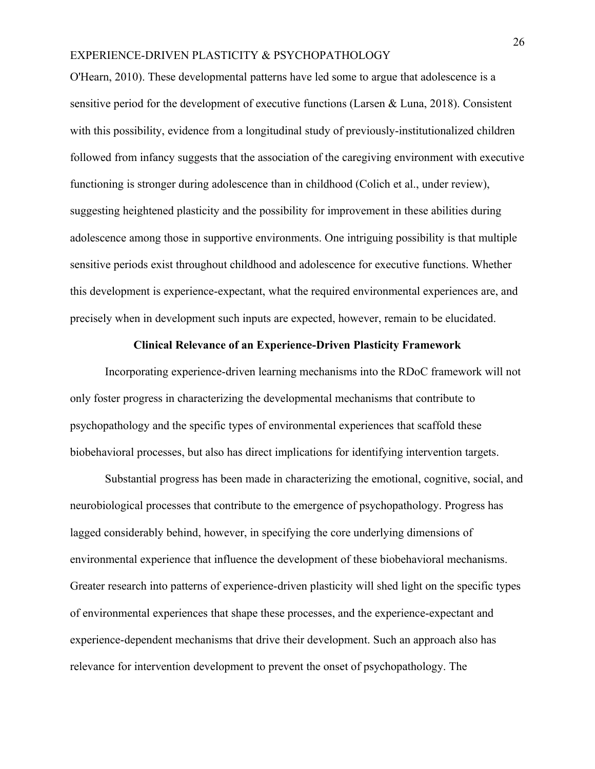O'Hearn, 2010). These developmental patterns have led some to argue that adolescence is a sensitive period for the development of executive functions (Larsen & Luna, 2018). Consistent with this possibility, evidence from a longitudinal study of previously-institutionalized children followed from infancy suggests that the association of the caregiving environment with executive functioning is stronger during adolescence than in childhood (Colich et al., under review), suggesting heightened plasticity and the possibility for improvement in these abilities during adolescence among those in supportive environments. One intriguing possibility is that multiple sensitive periods exist throughout childhood and adolescence for executive functions. Whether this development is experience-expectant, what the required environmental experiences are, and precisely when in development such inputs are expected, however, remain to be elucidated.

#### **Clinical Relevance of an Experience-Driven Plasticity Framework**

Incorporating experience-driven learning mechanisms into the RDoC framework will not only foster progress in characterizing the developmental mechanisms that contribute to psychopathology and the specific types of environmental experiences that scaffold these biobehavioral processes, but also has direct implications for identifying intervention targets.

Substantial progress has been made in characterizing the emotional, cognitive, social, and neurobiological processes that contribute to the emergence of psychopathology. Progress has lagged considerably behind, however, in specifying the core underlying dimensions of environmental experience that influence the development of these biobehavioral mechanisms. Greater research into patterns of experience-driven plasticity will shed light on the specific types of environmental experiences that shape these processes, and the experience-expectant and experience-dependent mechanisms that drive their development. Such an approach also has relevance for intervention development to prevent the onset of psychopathology. The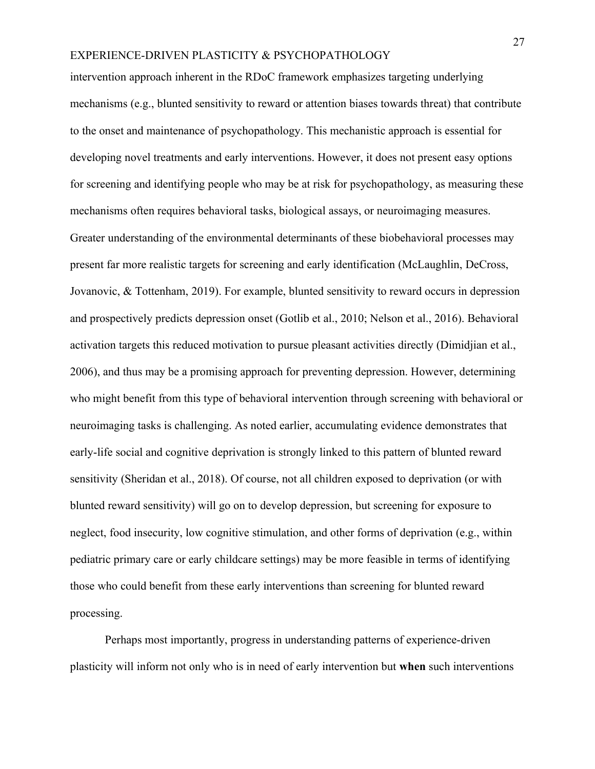intervention approach inherent in the RDoC framework emphasizes targeting underlying mechanisms (e.g., blunted sensitivity to reward or attention biases towards threat) that contribute to the onset and maintenance of psychopathology. This mechanistic approach is essential for developing novel treatments and early interventions. However, it does not present easy options for screening and identifying people who may be at risk for psychopathology, as measuring these mechanisms often requires behavioral tasks, biological assays, or neuroimaging measures. Greater understanding of the environmental determinants of these biobehavioral processes may present far more realistic targets for screening and early identification (McLaughlin, DeCross, Jovanovic, & Tottenham, 2019). For example, blunted sensitivity to reward occurs in depression and prospectively predicts depression onset (Gotlib et al., 2010; Nelson et al., 2016). Behavioral activation targets this reduced motivation to pursue pleasant activities directly (Dimidjian et al., 2006), and thus may be a promising approach for preventing depression. However, determining who might benefit from this type of behavioral intervention through screening with behavioral or neuroimaging tasks is challenging. As noted earlier, accumulating evidence demonstrates that early-life social and cognitive deprivation is strongly linked to this pattern of blunted reward sensitivity (Sheridan et al., 2018). Of course, not all children exposed to deprivation (or with blunted reward sensitivity) will go on to develop depression, but screening for exposure to neglect, food insecurity, low cognitive stimulation, and other forms of deprivation (e.g., within pediatric primary care or early childcare settings) may be more feasible in terms of identifying those who could benefit from these early interventions than screening for blunted reward processing.

Perhaps most importantly, progress in understanding patterns of experience-driven plasticity will inform not only who is in need of early intervention but **when** such interventions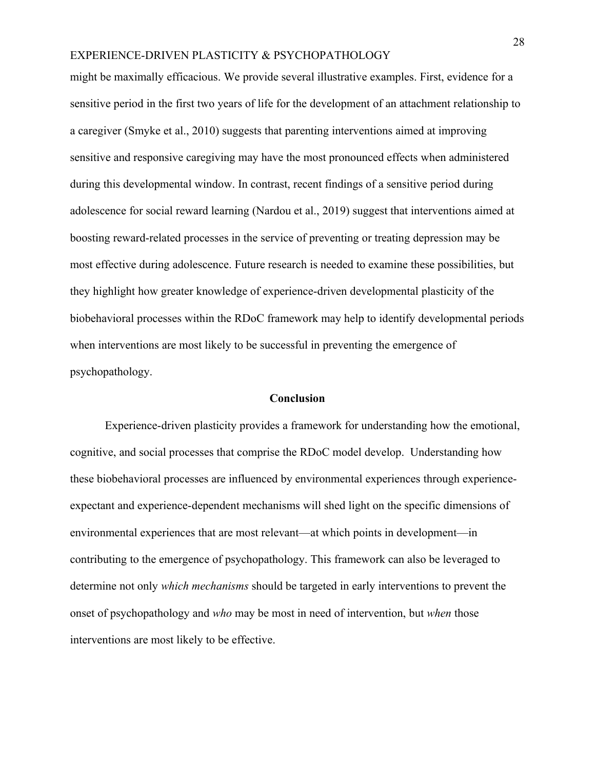might be maximally efficacious. We provide several illustrative examples. First, evidence for a sensitive period in the first two years of life for the development of an attachment relationship to a caregiver (Smyke et al., 2010) suggests that parenting interventions aimed at improving sensitive and responsive caregiving may have the most pronounced effects when administered during this developmental window. In contrast, recent findings of a sensitive period during adolescence for social reward learning (Nardou et al., 2019) suggest that interventions aimed at boosting reward-related processes in the service of preventing or treating depression may be most effective during adolescence. Future research is needed to examine these possibilities, but they highlight how greater knowledge of experience-driven developmental plasticity of the biobehavioral processes within the RDoC framework may help to identify developmental periods when interventions are most likely to be successful in preventing the emergence of psychopathology.

#### **Conclusion**

Experience-driven plasticity provides a framework for understanding how the emotional, cognitive, and social processes that comprise the RDoC model develop. Understanding how these biobehavioral processes are influenced by environmental experiences through experienceexpectant and experience-dependent mechanisms will shed light on the specific dimensions of environmental experiences that are most relevant—at which points in development—in contributing to the emergence of psychopathology. This framework can also be leveraged to determine not only *which mechanisms* should be targeted in early interventions to prevent the onset of psychopathology and *who* may be most in need of intervention, but *when* those interventions are most likely to be effective.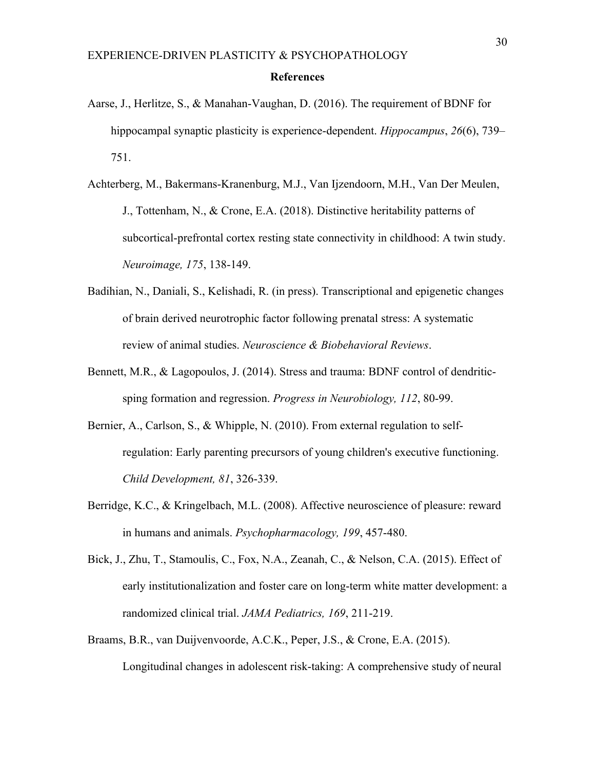#### **References**

- Aarse, J., Herlitze, S., & Manahan-Vaughan, D. (2016). The requirement of BDNF for hippocampal synaptic plasticity is experience-dependent. *Hippocampus*, *26*(6), 739– 751.
- Achterberg, M., Bakermans-Kranenburg, M.J., Van Ijzendoorn, M.H., Van Der Meulen, J., Tottenham, N., & Crone, E.A. (2018). Distinctive heritability patterns of subcortical-prefrontal cortex resting state connectivity in childhood: A twin study. *Neuroimage, 175*, 138-149.
- Badihian, N., Daniali, S., Kelishadi, R. (in press). Transcriptional and epigenetic changes of brain derived neurotrophic factor following prenatal stress: A systematic review of animal studies. *Neuroscience & Biobehavioral Reviews*.
- Bennett, M.R., & Lagopoulos, J. (2014). Stress and trauma: BDNF control of dendriticsping formation and regression. *Progress in Neurobiology, 112*, 80-99.
- Bernier, A., Carlson, S., & Whipple, N. (2010). From external regulation to selfregulation: Early parenting precursors of young children's executive functioning. *Child Development, 81*, 326-339.
- Berridge, K.C., & Kringelbach, M.L. (2008). Affective neuroscience of pleasure: reward in humans and animals. *Psychopharmacology, 199*, 457-480.
- Bick, J., Zhu, T., Stamoulis, C., Fox, N.A., Zeanah, C., & Nelson, C.A. (2015). Effect of early institutionalization and foster care on long-term white matter development: a randomized clinical trial. *JAMA Pediatrics, 169*, 211-219.
- Braams, B.R., van Duijvenvoorde, A.C.K., Peper, J.S., & Crone, E.A. (2015). Longitudinal changes in adolescent risk-taking: A comprehensive study of neural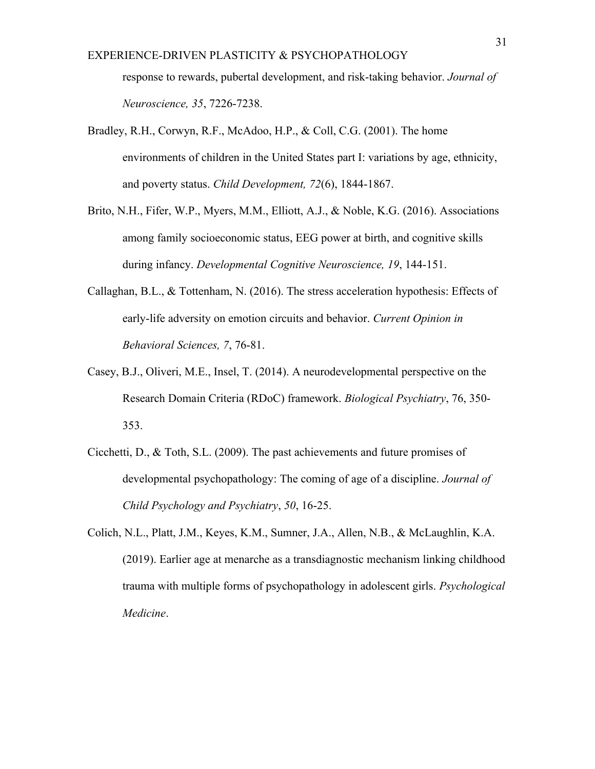response to rewards, pubertal development, and risk-taking behavior. *Journal of Neuroscience, 35*, 7226-7238.

- Bradley, R.H., Corwyn, R.F., McAdoo, H.P., & Coll, C.G. (2001). The home environments of children in the United States part I: variations by age, ethnicity, and poverty status. *Child Development, 72*(6), 1844-1867.
- Brito, N.H., Fifer, W.P., Myers, M.M., Elliott, A.J., & Noble, K.G. (2016). Associations among family socioeconomic status, EEG power at birth, and cognitive skills during infancy. *Developmental Cognitive Neuroscience, 19*, 144-151.
- Callaghan, B.L., & Tottenham, N. (2016). The stress acceleration hypothesis: Effects of early-life adversity on emotion circuits and behavior. *Current Opinion in Behavioral Sciences, 7*, 76-81.
- Casey, B.J., Oliveri, M.E., Insel, T. (2014). A neurodevelopmental perspective on the Research Domain Criteria (RDoC) framework. *Biological Psychiatry*, 76, 350- 353.
- Cicchetti, D., & Toth, S.L. (2009). The past achievements and future promises of developmental psychopathology: The coming of age of a discipline. *Journal of Child Psychology and Psychiatry*, *50*, 16-25.
- Colich, N.L., Platt, J.M., Keyes, K.M., Sumner, J.A., Allen, N.B., & McLaughlin, K.A. (2019). Earlier age at menarche as a transdiagnostic mechanism linking childhood trauma with multiple forms of psychopathology in adolescent girls. *Psychological Medicine*.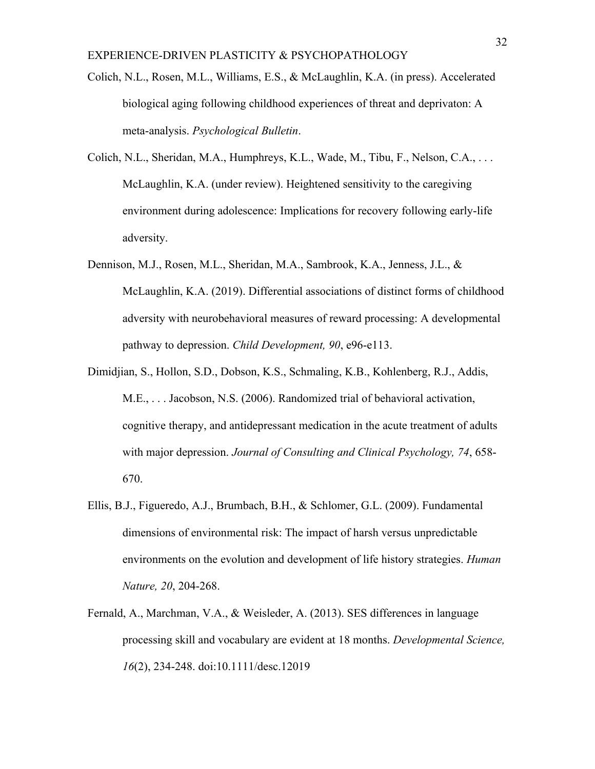- Colich, N.L., Rosen, M.L., Williams, E.S., & McLaughlin, K.A. (in press). Accelerated biological aging following childhood experiences of threat and deprivaton: A meta-analysis. *Psychological Bulletin*.
- Colich, N.L., Sheridan, M.A., Humphreys, K.L., Wade, M., Tibu, F., Nelson, C.A., . . . McLaughlin, K.A. (under review). Heightened sensitivity to the caregiving environment during adolescence: Implications for recovery following early-life adversity.
- Dennison, M.J., Rosen, M.L., Sheridan, M.A., Sambrook, K.A., Jenness, J.L., & McLaughlin, K.A. (2019). Differential associations of distinct forms of childhood adversity with neurobehavioral measures of reward processing: A developmental pathway to depression. *Child Development, 90*, e96-e113.
- Dimidjian, S., Hollon, S.D., Dobson, K.S., Schmaling, K.B., Kohlenberg, R.J., Addis, M.E., . . . Jacobson, N.S. (2006). Randomized trial of behavioral activation, cognitive therapy, and antidepressant medication in the acute treatment of adults with major depression. *Journal of Consulting and Clinical Psychology, 74*, 658- 670.
- Ellis, B.J., Figueredo, A.J., Brumbach, B.H., & Schlomer, G.L. (2009). Fundamental dimensions of environmental risk: The impact of harsh versus unpredictable environments on the evolution and development of life history strategies. *Human Nature, 20*, 204-268.
- Fernald, A., Marchman, V.A., & Weisleder, A. (2013). SES differences in language processing skill and vocabulary are evident at 18 months. *Developmental Science, 16*(2), 234-248. doi:10.1111/desc.12019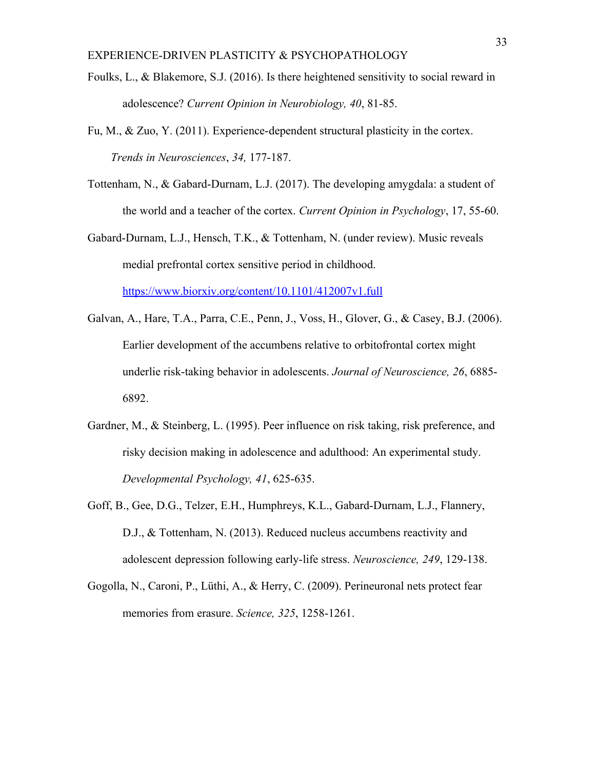- Foulks, L., & Blakemore, S.J. (2016). Is there heightened sensitivity to social reward in adolescence? *Current Opinion in Neurobiology, 40*, 81-85.
- Fu, M.,  $\&$  Zuo, Y. (2011). Experience-dependent structural plasticity in the cortex. *Trends in Neurosciences*, *34,* 177-187.
- Tottenham, N., & Gabard-Durnam, L.J. (2017). The developing amygdala: a student of the world and a teacher of the cortex. *Current Opinion in Psychology*, 17, 55-60.
- Gabard-Durnam, L.J., Hensch, T.K., & Tottenham, N. (under review). Music reveals medial prefrontal cortex sensitive period in childhood. <https://www.biorxiv.org/content/10.1101/412007v1.full>
- Galvan, A., Hare, T.A., Parra, C.E., Penn, J., Voss, H., Glover, G., & Casey, B.J. (2006). Earlier development of the accumbens relative to orbitofrontal cortex might underlie risk-taking behavior in adolescents. *Journal of Neuroscience, 26*, 6885- 6892.
- Gardner, M., & Steinberg, L. (1995). Peer influence on risk taking, risk preference, and risky decision making in adolescence and adulthood: An experimental study. *Developmental Psychology, 41*, 625-635.
- Goff, B., Gee, D.G., Telzer, E.H., Humphreys, K.L., Gabard-Durnam, L.J., Flannery, D.J., & Tottenham, N. (2013). Reduced nucleus accumbens reactivity and adolescent depression following early-life stress. *Neuroscience, 249*, 129-138.
- Gogolla, N., Caroni, P., Lüthi, A., & Herry, C. (2009). Perineuronal nets protect fear memories from erasure. *Science, 325*, 1258-1261.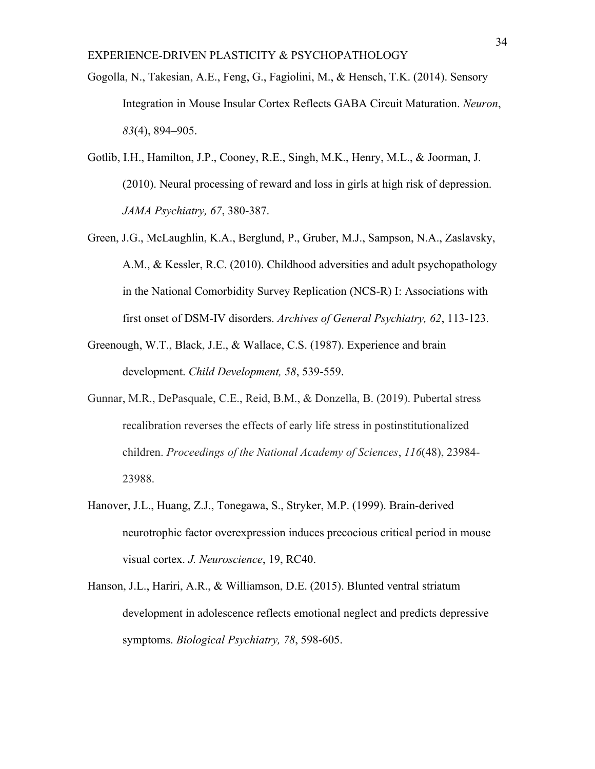- Gogolla, N., Takesian, A.E., Feng, G., Fagiolini, M., & Hensch, T.K. (2014). Sensory Integration in Mouse Insular Cortex Reflects GABA Circuit Maturation. *Neuron*, *83*(4), 894–905.
- Gotlib, I.H., Hamilton, J.P., Cooney, R.E., Singh, M.K., Henry, M.L., & Joorman, J. (2010). Neural processing of reward and loss in girls at high risk of depression. *JAMA Psychiatry, 67*, 380-387.
- Green, J.G., McLaughlin, K.A., Berglund, P., Gruber, M.J., Sampson, N.A., Zaslavsky, A.M., & Kessler, R.C. (2010). Childhood adversities and adult psychopathology in the National Comorbidity Survey Replication (NCS-R) I: Associations with first onset of DSM-IV disorders. *Archives of General Psychiatry, 62*, 113-123.
- Greenough, W.T., Black, J.E., & Wallace, C.S. (1987). Experience and brain development. *Child Development, 58*, 539-559.
- Gunnar, M.R., DePasquale, C.E., Reid, B.M., & Donzella, B. (2019). Pubertal stress recalibration reverses the effects of early life stress in postinstitutionalized children. *Proceedings of the National Academy of Sciences*, *116*(48), 23984- 23988.
- Hanover, J.L., Huang, Z.J., Tonegawa, S., Stryker, M.P. (1999). Brain-derived neurotrophic factor overexpression induces precocious critical period in mouse visual cortex. *J. Neuroscience*, 19, RC40.
- Hanson, J.L., Hariri, A.R., & Williamson, D.E. (2015). Blunted ventral striatum development in adolescence reflects emotional neglect and predicts depressive symptoms. *Biological Psychiatry, 78*, 598-605.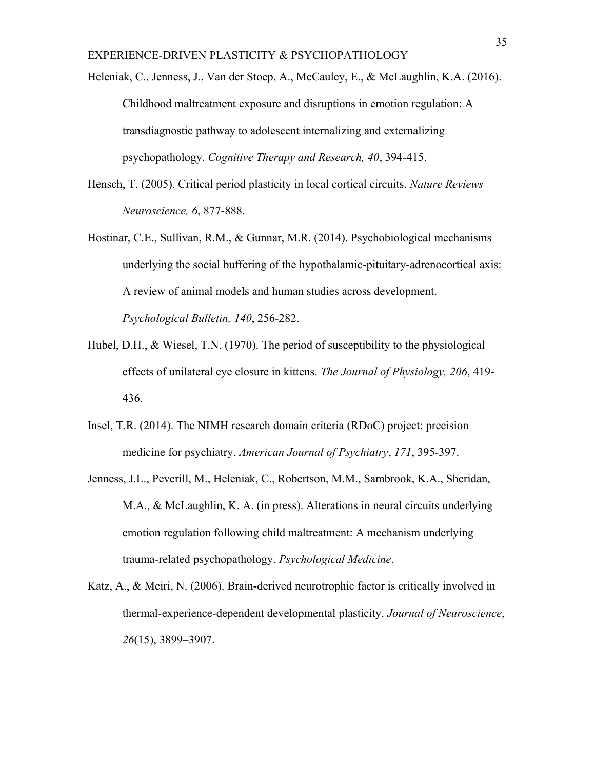Heleniak, C., Jenness, J., Van der Stoep, A., McCauley, E., & McLaughlin, K.A. (2016). Childhood maltreatment exposure and disruptions in emotion regulation: A transdiagnostic pathway to adolescent internalizing and externalizing psychopathology. *Cognitive Therapy and Research, 40*, 394-415.

- Hensch, T. (2005). Critical period plasticity in local cortical circuits. *Nature Reviews Neuroscience, 6*, 877-888.
- Hostinar, C.E., Sullivan, R.M., & Gunnar, M.R. (2014). Psychobiological mechanisms underlying the social buffering of the hypothalamic-pituitary-adrenocortical axis: A review of animal models and human studies across development. *Psychological Bulletin, 140*, 256-282.
- Hubel, D.H., & Wiesel, T.N. (1970). The period of susceptibility to the physiological effects of unilateral eye closure in kittens. *The Journal of Physiology, 206*, 419- 436.
- Insel, T.R. (2014). The NIMH research domain criteria (RDoC) project: precision medicine for psychiatry. *American Journal of Psychiatry*, *171*, 395-397.
- Jenness, J.L., Peverill, M., Heleniak, C., Robertson, M.M., Sambrook, K.A., Sheridan, M.A., & McLaughlin, K. A. (in press). Alterations in neural circuits underlying emotion regulation following child maltreatment: A mechanism underlying trauma-related psychopathology. *Psychological Medicine*.
- Katz, A., & Meiri, N. (2006). Brain-derived neurotrophic factor is critically involved in thermal-experience-dependent developmental plasticity. *Journal of Neuroscience*, *26*(15), 3899–3907.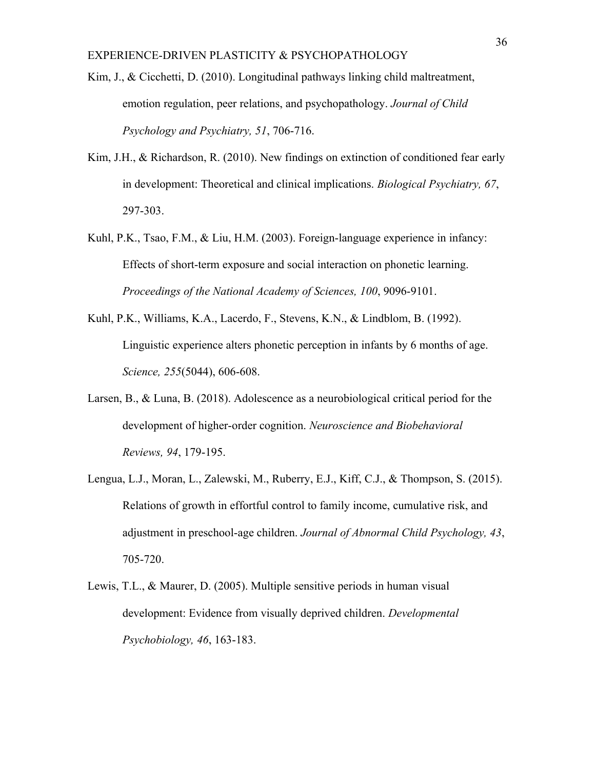- Kim, J., & Cicchetti, D. (2010). Longitudinal pathways linking child maltreatment, emotion regulation, peer relations, and psychopathology. *Journal of Child Psychology and Psychiatry, 51*, 706-716.
- Kim, J.H., & Richardson, R. (2010). New findings on extinction of conditioned fear early in development: Theoretical and clinical implications. *Biological Psychiatry, 67*, 297-303.
- Kuhl, P.K., Tsao, F.M., & Liu, H.M. (2003). Foreign-language experience in infancy: Effects of short-term exposure and social interaction on phonetic learning. *Proceedings of the National Academy of Sciences, 100*, 9096-9101.
- Kuhl, P.K., Williams, K.A., Lacerdo, F., Stevens, K.N., & Lindblom, B. (1992). Linguistic experience alters phonetic perception in infants by 6 months of age. *Science, 255*(5044), 606-608.
- Larsen, B., & Luna, B. (2018). Adolescence as a neurobiological critical period for the development of higher-order cognition. *Neuroscience and Biobehavioral Reviews, 94*, 179-195.
- Lengua, L.J., Moran, L., Zalewski, M., Ruberry, E.J., Kiff, C.J., & Thompson, S. (2015). Relations of growth in effortful control to family income, cumulative risk, and adjustment in preschool-age children. *Journal of Abnormal Child Psychology, 43*, 705-720.
- Lewis, T.L., & Maurer, D. (2005). Multiple sensitive periods in human visual development: Evidence from visually deprived children. *Developmental Psychobiology, 46*, 163-183.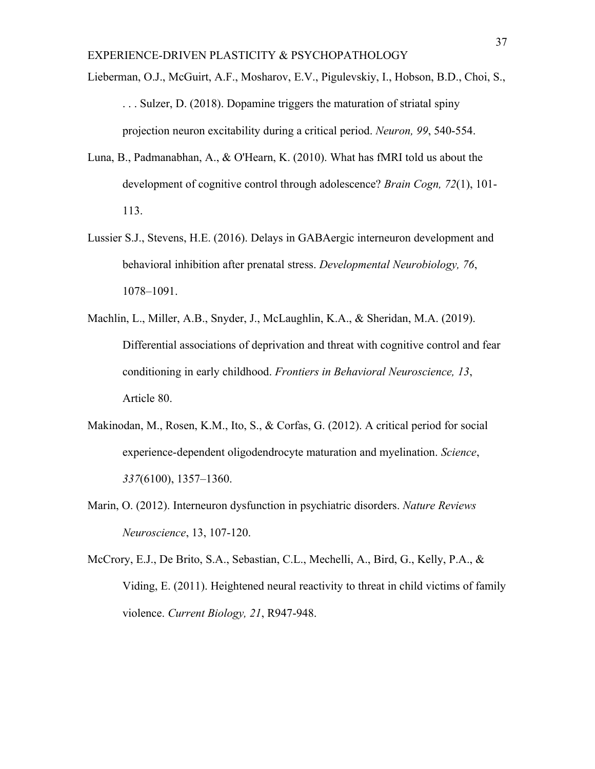Lieberman, O.J., McGuirt, A.F., Mosharov, E.V., Pigulevskiy, I., Hobson, B.D., Choi, S., . . . Sulzer, D. (2018). Dopamine triggers the maturation of striatal spiny projection neuron excitability during a critical period. *Neuron, 99*, 540-554.

- Luna, B., Padmanabhan, A., & O'Hearn, K. (2010). What has fMRI told us about the development of cognitive control through adolescence? *Brain Cogn, 72*(1), 101- 113.
- Lussier S.J., Stevens, H.E. (2016). Delays in GABAergic interneuron development and behavioral inhibition after prenatal stress. *Developmental Neurobiology, 76*, 1078–1091.
- Machlin, L., Miller, A.B., Snyder, J., McLaughlin, K.A., & Sheridan, M.A. (2019). Differential associations of deprivation and threat with cognitive control and fear conditioning in early childhood. *Frontiers in Behavioral Neuroscience, 13*, Article 80.
- Makinodan, M., Rosen, K.M., Ito, S., & Corfas, G. (2012). A critical period for social experience-dependent oligodendrocyte maturation and myelination. *Science*, *337*(6100), 1357–1360.
- Marin, O. (2012). Interneuron dysfunction in psychiatric disorders. *Nature Reviews Neuroscience*, 13, 107-120.
- McCrory, E.J., De Brito, S.A., Sebastian, C.L., Mechelli, A., Bird, G., Kelly, P.A., & Viding, E. (2011). Heightened neural reactivity to threat in child victims of family violence. *Current Biology, 21*, R947-948.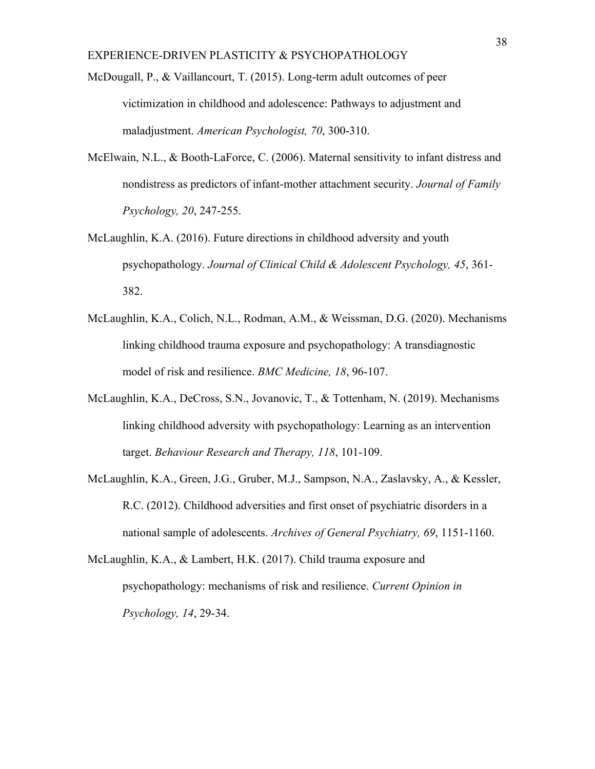- McDougall, P., & Vaillancourt, T. (2015). Long-term adult outcomes of peer victimization in childhood and adolescence: Pathways to adjustment and maladjustment. *American Psychologist, 70*, 300-310.
- McElwain, N.L., & Booth-LaForce, C. (2006). Maternal sensitivity to infant distress and nondistress as predictors of infant-mother attachment security. *Journal of Family Psychology, 20*, 247-255.
- McLaughlin, K.A. (2016). Future directions in childhood adversity and youth psychopathology. *Journal of Clinical Child & Adolescent Psychology, 45*, 361- 382.
- McLaughlin, K.A., Colich, N.L., Rodman, A.M., & Weissman, D.G. (2020). Mechanisms linking childhood trauma exposure and psychopathology: A transdiagnostic model of risk and resilience. *BMC Medicine, 18*, 96-107.
- McLaughlin, K.A., DeCross, S.N., Jovanovic, T., & Tottenham, N. (2019). Mechanisms linking childhood adversity with psychopathology: Learning as an intervention target. *Behaviour Research and Therapy, 118*, 101-109.
- McLaughlin, K.A., Green, J.G., Gruber, M.J., Sampson, N.A., Zaslavsky, A., & Kessler, R.C. (2012). Childhood adversities and first onset of psychiatric disorders in a national sample of adolescents. *Archives of General Psychiatry, 69*, 1151-1160.
- McLaughlin, K.A., & Lambert, H.K. (2017). Child trauma exposure and psychopathology: mechanisms of risk and resilience. *Current Opinion in Psychology, 14*, 29-34.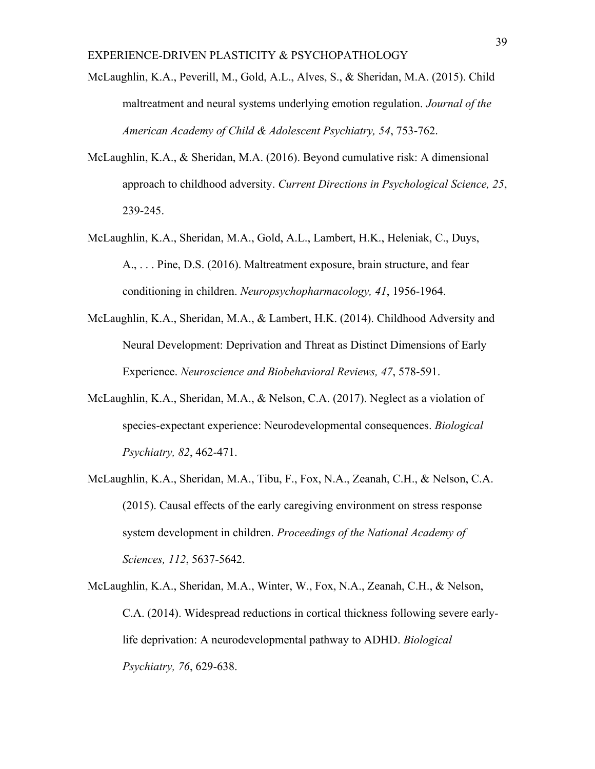- McLaughlin, K.A., Peverill, M., Gold, A.L., Alves, S., & Sheridan, M.A. (2015). Child maltreatment and neural systems underlying emotion regulation. *Journal of the American Academy of Child & Adolescent Psychiatry, 54*, 753-762.
- McLaughlin, K.A., & Sheridan, M.A. (2016). Beyond cumulative risk: A dimensional approach to childhood adversity. *Current Directions in Psychological Science, 25*, 239-245.
- McLaughlin, K.A., Sheridan, M.A., Gold, A.L., Lambert, H.K., Heleniak, C., Duys, A., . . . Pine, D.S. (2016). Maltreatment exposure, brain structure, and fear conditioning in children. *Neuropsychopharmacology, 41*, 1956-1964.
- McLaughlin, K.A., Sheridan, M.A., & Lambert, H.K. (2014). Childhood Adversity and Neural Development: Deprivation and Threat as Distinct Dimensions of Early Experience. *Neuroscience and Biobehavioral Reviews, 47*, 578-591.
- McLaughlin, K.A., Sheridan, M.A., & Nelson, C.A. (2017). Neglect as a violation of species-expectant experience: Neurodevelopmental consequences. *Biological Psychiatry, 82*, 462-471.
- McLaughlin, K.A., Sheridan, M.A., Tibu, F., Fox, N.A., Zeanah, C.H., & Nelson, C.A. (2015). Causal effects of the early caregiving environment on stress response system development in children. *Proceedings of the National Academy of Sciences, 112*, 5637-5642.
- McLaughlin, K.A., Sheridan, M.A., Winter, W., Fox, N.A., Zeanah, C.H., & Nelson, C.A. (2014). Widespread reductions in cortical thickness following severe earlylife deprivation: A neurodevelopmental pathway to ADHD. *Biological Psychiatry, 76*, 629-638.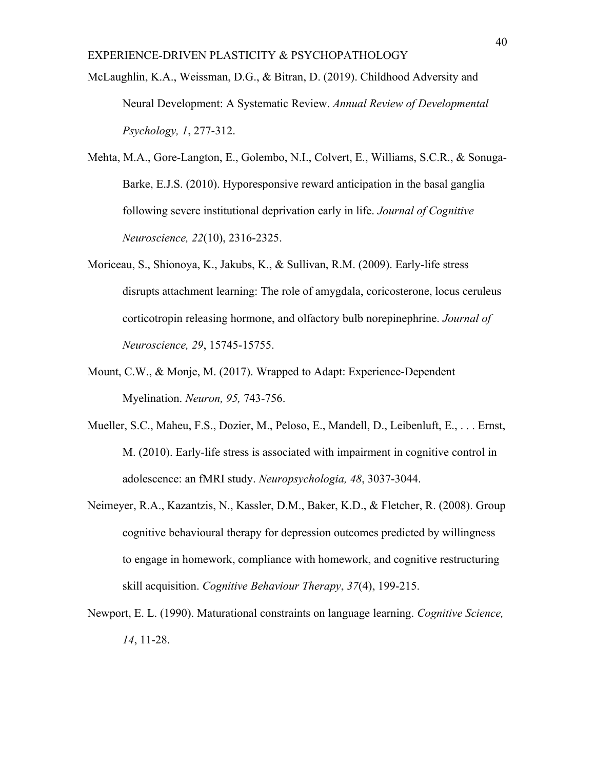McLaughlin, K.A., Weissman, D.G., & Bitran, D. (2019). Childhood Adversity and Neural Development: A Systematic Review. *Annual Review of Developmental Psychology, 1*, 277-312.

- Mehta, M.A., Gore-Langton, E., Golembo, N.I., Colvert, E., Williams, S.C.R., & Sonuga-Barke, E.J.S. (2010). Hyporesponsive reward anticipation in the basal ganglia following severe institutional deprivation early in life. *Journal of Cognitive Neuroscience, 22*(10), 2316-2325.
- Moriceau, S., Shionoya, K., Jakubs, K., & Sullivan, R.M. (2009). Early-life stress disrupts attachment learning: The role of amygdala, coricosterone, locus ceruleus corticotropin releasing hormone, and olfactory bulb norepinephrine. *Journal of Neuroscience, 29*, 15745-15755.
- Mount, C.W., & Monje, M. (2017). Wrapped to Adapt: Experience-Dependent Myelination. *Neuron, 95,* 743-756.
- Mueller, S.C., Maheu, F.S., Dozier, M., Peloso, E., Mandell, D., Leibenluft, E., . . . Ernst, M. (2010). Early-life stress is associated with impairment in cognitive control in adolescence: an fMRI study. *Neuropsychologia, 48*, 3037-3044.
- Neimeyer, R.A., Kazantzis, N., Kassler, D.M., Baker, K.D., & Fletcher, R. (2008). Group cognitive behavioural therapy for depression outcomes predicted by willingness to engage in homework, compliance with homework, and cognitive restructuring skill acquisition. *Cognitive Behaviour Therapy*, *37*(4), 199-215.
- Newport, E. L. (1990). Maturational constraints on language learning. *Cognitive Science, 14*, 11-28.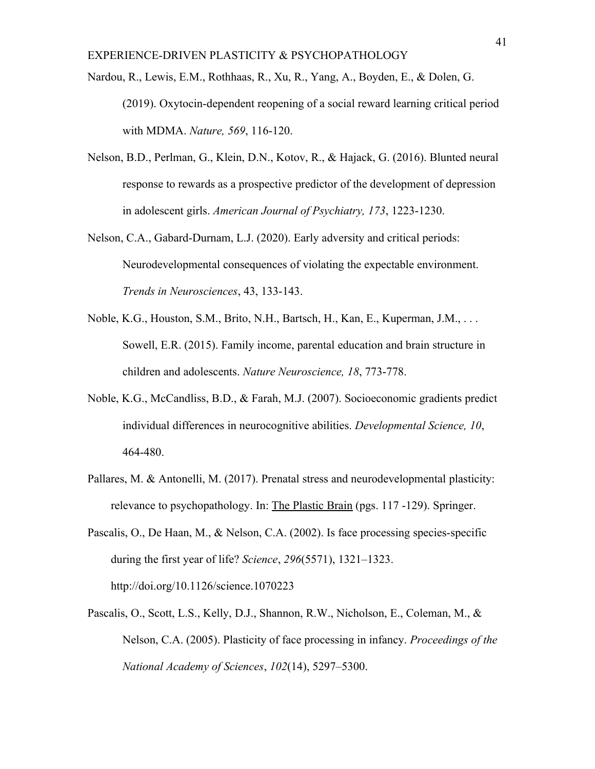- Nardou, R., Lewis, E.M., Rothhaas, R., Xu, R., Yang, A., Boyden, E., & Dolen, G. (2019). Oxytocin-dependent reopening of a social reward learning critical period with MDMA. *Nature, 569*, 116-120.
- Nelson, B.D., Perlman, G., Klein, D.N., Kotov, R., & Hajack, G. (2016). Blunted neural response to rewards as a prospective predictor of the development of depression in adolescent girls. *American Journal of Psychiatry, 173*, 1223-1230.
- Nelson, C.A., Gabard-Durnam, L.J. (2020). Early adversity and critical periods: Neurodevelopmental consequences of violating the expectable environment. *Trends in Neurosciences*, 43, 133-143.
- Noble, K.G., Houston, S.M., Brito, N.H., Bartsch, H., Kan, E., Kuperman, J.M., . . . Sowell, E.R. (2015). Family income, parental education and brain structure in children and adolescents. *Nature Neuroscience, 18*, 773-778.
- Noble, K.G., McCandliss, B.D., & Farah, M.J. (2007). Socioeconomic gradients predict individual differences in neurocognitive abilities. *Developmental Science, 10*, 464-480.
- Pallares, M. & Antonelli, M. (2017). Prenatal stress and neurodevelopmental plasticity: relevance to psychopathology. In: The Plastic Brain (pgs. 117 -129). Springer.
- Pascalis, O., De Haan, M., & Nelson, C.A. (2002). Is face processing species-specific during the first year of life? *Science*, *296*(5571), 1321–1323. http://doi.org/10.1126/science.1070223
- Pascalis, O., Scott, L.S., Kelly, D.J., Shannon, R.W., Nicholson, E., Coleman, M., & Nelson, C.A. (2005). Plasticity of face processing in infancy. *Proceedings of the National Academy of Sciences*, *102*(14), 5297–5300.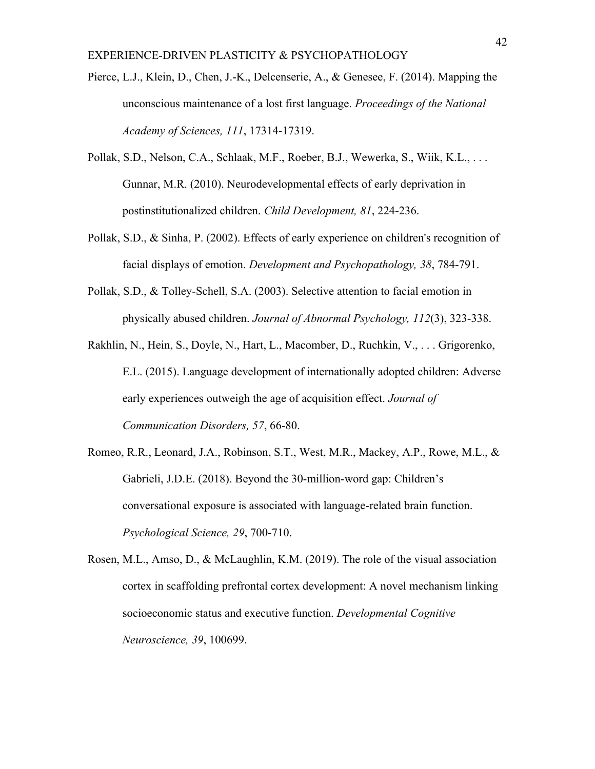- Pierce, L.J., Klein, D., Chen, J.-K., Delcenserie, A., & Genesee, F. (2014). Mapping the unconscious maintenance of a lost first language. *Proceedings of the National Academy of Sciences, 111*, 17314-17319.
- Pollak, S.D., Nelson, C.A., Schlaak, M.F., Roeber, B.J., Wewerka, S., Wiik, K.L., . . . Gunnar, M.R. (2010). Neurodevelopmental effects of early deprivation in postinstitutionalized children. *Child Development, 81*, 224-236.
- Pollak, S.D., & Sinha, P. (2002). Effects of early experience on children's recognition of facial displays of emotion. *Development and Psychopathology, 38*, 784-791.
- Pollak, S.D., & Tolley-Schell, S.A. (2003). Selective attention to facial emotion in physically abused children. *Journal of Abnormal Psychology, 112*(3), 323-338.
- Rakhlin, N., Hein, S., Doyle, N., Hart, L., Macomber, D., Ruchkin, V., . . . Grigorenko, E.L. (2015). Language development of internationally adopted children: Adverse early experiences outweigh the age of acquisition effect. *Journal of Communication Disorders, 57*, 66-80.
- Romeo, R.R., Leonard, J.A., Robinson, S.T., West, M.R., Mackey, A.P., Rowe, M.L., & Gabrieli, J.D.E. (2018). Beyond the 30-million-word gap: Children's conversational exposure is associated with language-related brain function. *Psychological Science, 29*, 700-710.
- Rosen, M.L., Amso, D., & McLaughlin, K.M. (2019). The role of the visual association cortex in scaffolding prefrontal cortex development: A novel mechanism linking socioeconomic status and executive function. *Developmental Cognitive Neuroscience, 39*, 100699.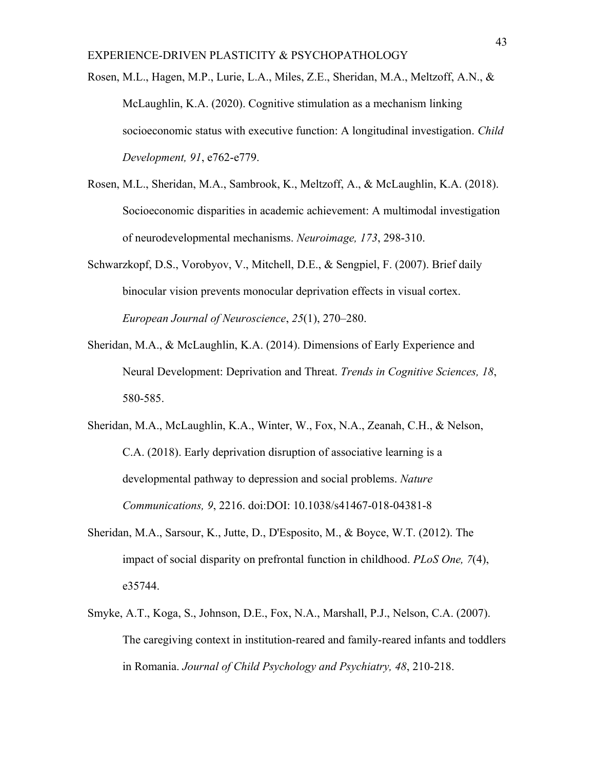Rosen, M.L., Hagen, M.P., Lurie, L.A., Miles, Z.E., Sheridan, M.A., Meltzoff, A.N., & McLaughlin, K.A. (2020). Cognitive stimulation as a mechanism linking socioeconomic status with executive function: A longitudinal investigation. *Child Development, 91*, e762-e779.

- Rosen, M.L., Sheridan, M.A., Sambrook, K., Meltzoff, A., & McLaughlin, K.A. (2018). Socioeconomic disparities in academic achievement: A multimodal investigation of neurodevelopmental mechanisms. *Neuroimage, 173*, 298-310.
- Schwarzkopf, D.S., Vorobyov, V., Mitchell, D.E., & Sengpiel, F. (2007). Brief daily binocular vision prevents monocular deprivation effects in visual cortex. *European Journal of Neuroscience*, *25*(1), 270–280.
- Sheridan, M.A., & McLaughlin, K.A. (2014). Dimensions of Early Experience and Neural Development: Deprivation and Threat. *Trends in Cognitive Sciences, 18*, 580-585.
- Sheridan, M.A., McLaughlin, K.A., Winter, W., Fox, N.A., Zeanah, C.H., & Nelson, C.A. (2018). Early deprivation disruption of associative learning is a developmental pathway to depression and social problems. *Nature Communications, 9*, 2216. doi:DOI: 10.1038/s41467-018-04381-8
- Sheridan, M.A., Sarsour, K., Jutte, D., D'Esposito, M., & Boyce, W.T. (2012). The impact of social disparity on prefrontal function in childhood. *PLoS One, 7*(4), e35744.
- Smyke, A.T., Koga, S., Johnson, D.E., Fox, N.A., Marshall, P.J., Nelson, C.A. (2007). The caregiving context in institution-reared and family-reared infants and toddlers in Romania. *Journal of Child Psychology and Psychiatry, 48*, 210-218.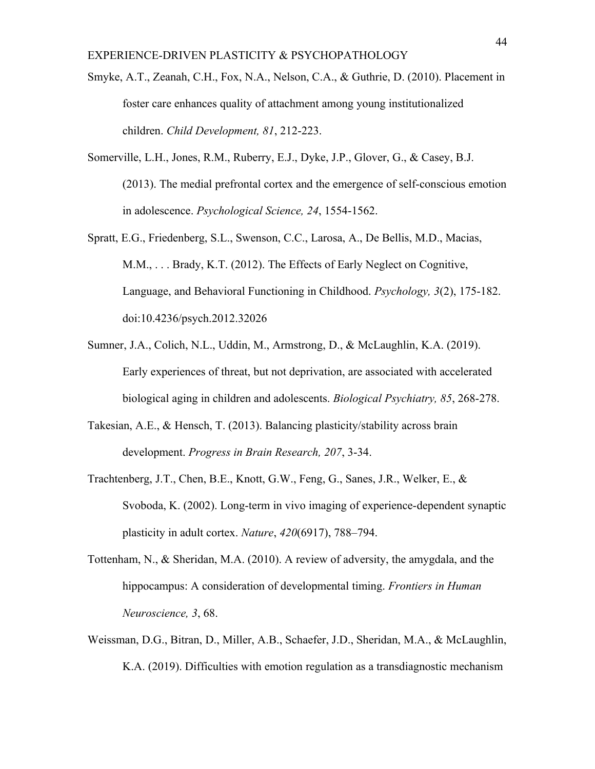- Smyke, A.T., Zeanah, C.H., Fox, N.A., Nelson, C.A., & Guthrie, D. (2010). Placement in foster care enhances quality of attachment among young institutionalized children. *Child Development, 81*, 212-223.
- Somerville, L.H., Jones, R.M., Ruberry, E.J., Dyke, J.P., Glover, G., & Casey, B.J. (2013). The medial prefrontal cortex and the emergence of self-conscious emotion in adolescence. *Psychological Science, 24*, 1554-1562.
- Spratt, E.G., Friedenberg, S.L., Swenson, C.C., Larosa, A., De Bellis, M.D., Macias, M.M., . . . Brady, K.T. (2012). The Effects of Early Neglect on Cognitive, Language, and Behavioral Functioning in Childhood. *Psychology, 3*(2), 175-182. doi:10.4236/psych.2012.32026
- Sumner, J.A., Colich, N.L., Uddin, M., Armstrong, D., & McLaughlin, K.A. (2019). Early experiences of threat, but not deprivation, are associated with accelerated biological aging in children and adolescents. *Biological Psychiatry, 85*, 268-278.
- Takesian, A.E., & Hensch, T. (2013). Balancing plasticity/stability across brain development. *Progress in Brain Research, 207*, 3-34.
- Trachtenberg, J.T., Chen, B.E., Knott, G.W., Feng, G., Sanes, J.R., Welker, E., & Svoboda, K. (2002). Long-term in vivo imaging of experience-dependent synaptic plasticity in adult cortex. *Nature*, *420*(6917), 788–794.
- Tottenham, N., & Sheridan, M.A. (2010). A review of adversity, the amygdala, and the hippocampus: A consideration of developmental timing. *Frontiers in Human Neuroscience, 3*, 68.
- Weissman, D.G., Bitran, D., Miller, A.B., Schaefer, J.D., Sheridan, M.A., & McLaughlin, K.A. (2019). Difficulties with emotion regulation as a transdiagnostic mechanism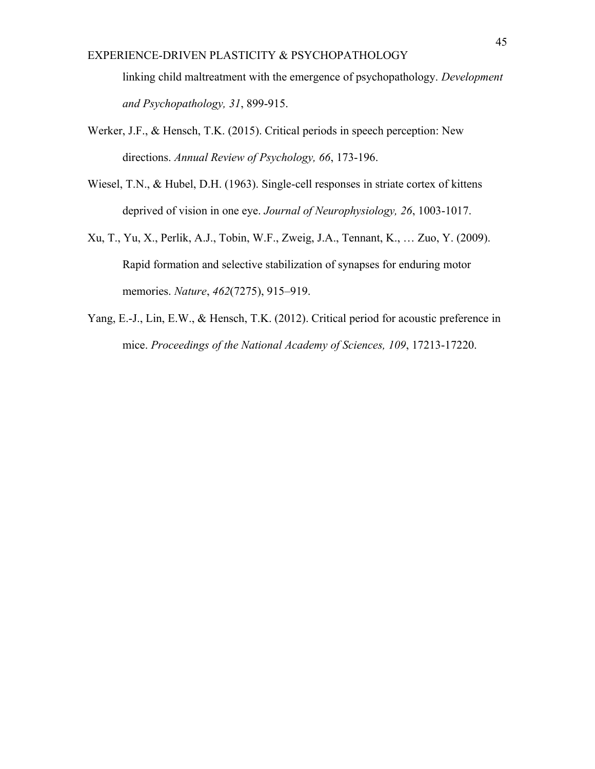linking child maltreatment with the emergence of psychopathology. *Development and Psychopathology, 31*, 899-915.

- Werker, J.F., & Hensch, T.K. (2015). Critical periods in speech perception: New directions. *Annual Review of Psychology, 66*, 173-196.
- Wiesel, T.N., & Hubel, D.H. (1963). Single-cell responses in striate cortex of kittens deprived of vision in one eye. *Journal of Neurophysiology, 26*, 1003-1017.
- Xu, T., Yu, X., Perlik, A.J., Tobin, W.F., Zweig, J.A., Tennant, K., … Zuo, Y. (2009). Rapid formation and selective stabilization of synapses for enduring motor memories. *Nature*, *462*(7275), 915–919.
- Yang, E.-J., Lin, E.W., & Hensch, T.K. (2012). Critical period for acoustic preference in mice. *Proceedings of the National Academy of Sciences, 109*, 17213-17220.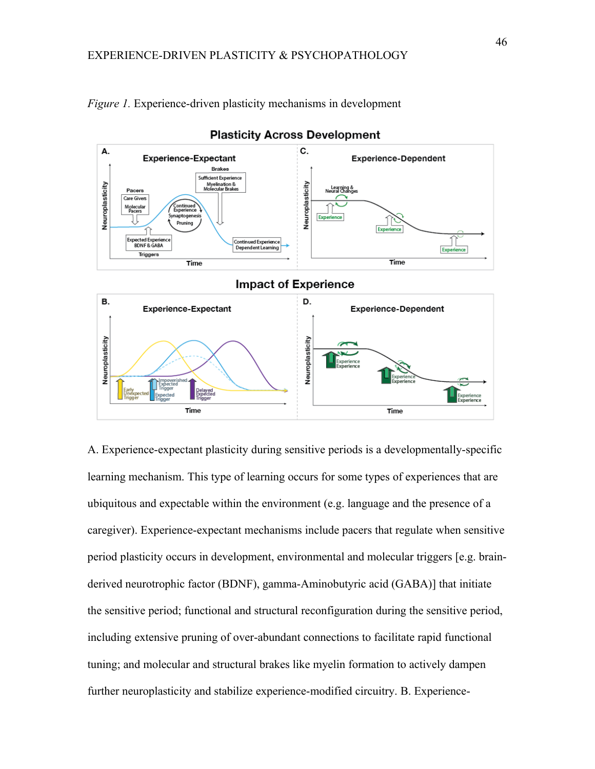

*Figure 1.* Experience-driven plasticity mechanisms in development

**Plasticity Across Development** 

A. Experience-expectant plasticity during sensitive periods is a developmentally-specific learning mechanism. This type of learning occurs for some types of experiences that are ubiquitous and expectable within the environment (e.g. language and the presence of a caregiver). Experience-expectant mechanisms include pacers that regulate when sensitive period plasticity occurs in development, environmental and molecular triggers [e.g. brainderived neurotrophic factor (BDNF), gamma-Aminobutyric acid (GABA)] that initiate the sensitive period; functional and structural reconfiguration during the sensitive period, including extensive pruning of over-abundant connections to facilitate rapid functional tuning; and molecular and structural brakes like myelin formation to actively dampen further neuroplasticity and stabilize experience-modified circuitry. B. Experience-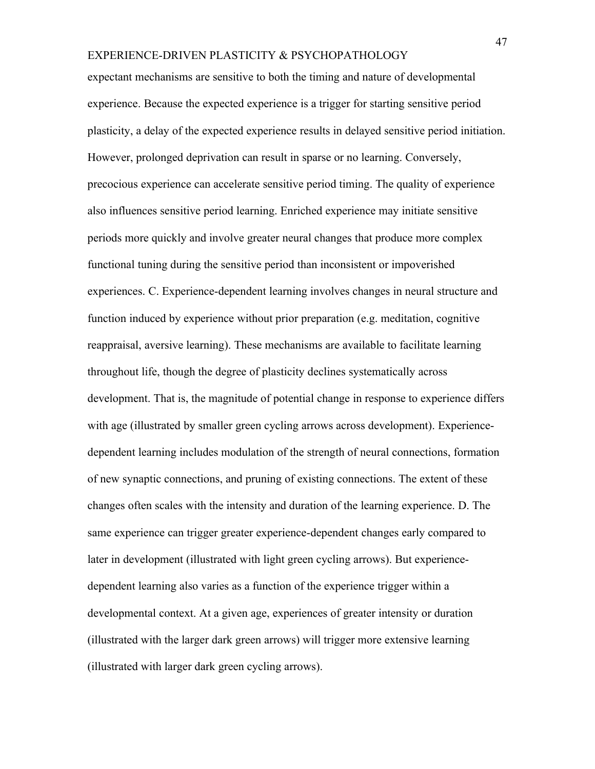expectant mechanisms are sensitive to both the timing and nature of developmental experience. Because the expected experience is a trigger for starting sensitive period plasticity, a delay of the expected experience results in delayed sensitive period initiation. However, prolonged deprivation can result in sparse or no learning. Conversely, precocious experience can accelerate sensitive period timing. The quality of experience also influences sensitive period learning. Enriched experience may initiate sensitive periods more quickly and involve greater neural changes that produce more complex functional tuning during the sensitive period than inconsistent or impoverished experiences. C. Experience-dependent learning involves changes in neural structure and function induced by experience without prior preparation (e.g. meditation, cognitive reappraisal, aversive learning). These mechanisms are available to facilitate learning throughout life, though the degree of plasticity declines systematically across development. That is, the magnitude of potential change in response to experience differs with age (illustrated by smaller green cycling arrows across development). Experiencedependent learning includes modulation of the strength of neural connections, formation of new synaptic connections, and pruning of existing connections. The extent of these changes often scales with the intensity and duration of the learning experience. D. The same experience can trigger greater experience-dependent changes early compared to later in development (illustrated with light green cycling arrows). But experiencedependent learning also varies as a function of the experience trigger within a developmental context. At a given age, experiences of greater intensity or duration (illustrated with the larger dark green arrows) will trigger more extensive learning (illustrated with larger dark green cycling arrows).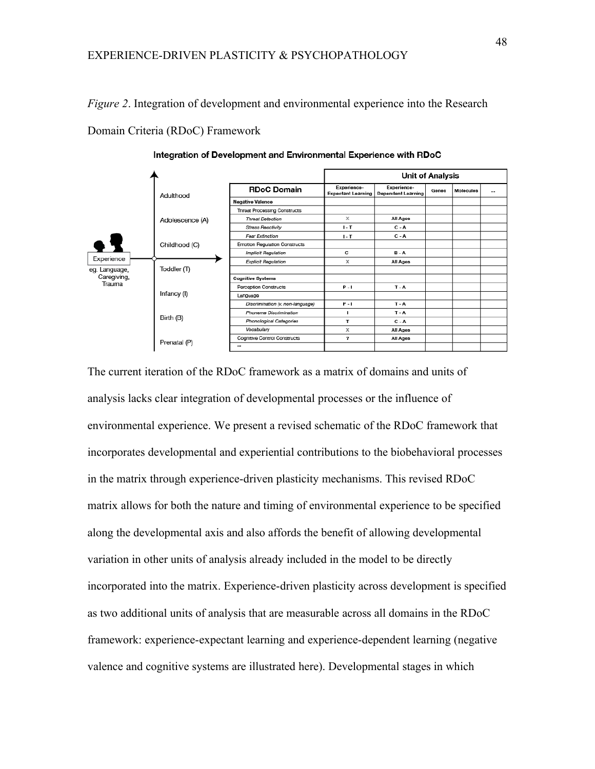*Figure 2*. Integration of development and environmental experience into the Research Domain Criteria (RDoC) Framework



Integration of Development and Environmental Experience with RDoC

The current iteration of the RDoC framework as a matrix of domains and units of analysis lacks clear integration of developmental processes or the influence of environmental experience. We present a revised schematic of the RDoC framework that incorporates developmental and experiential contributions to the biobehavioral processes in the matrix through experience-driven plasticity mechanisms. This revised RDoC matrix allows for both the nature and timing of environmental experience to be specified along the developmental axis and also affords the benefit of allowing developmental variation in other units of analysis already included in the model to be directly incorporated into the matrix. Experience-driven plasticity across development is specified as two additional units of analysis that are measurable across all domains in the RDoC framework: experience-expectant learning and experience-dependent learning (negative valence and cognitive systems are illustrated here). Developmental stages in which